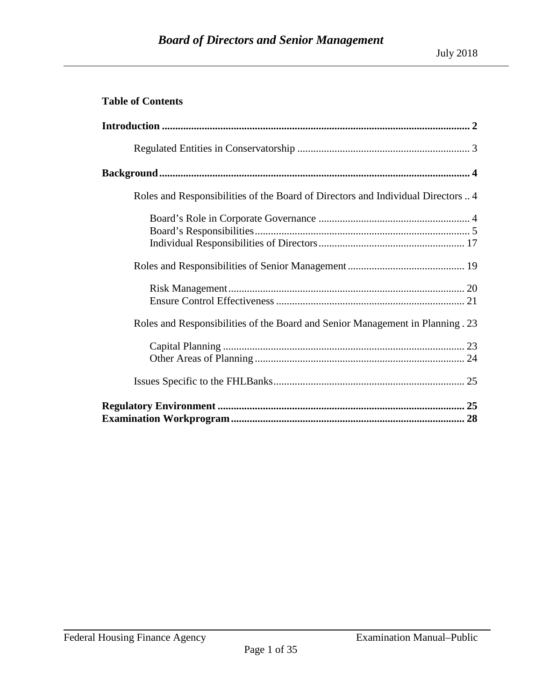## **Table of Contents**

| Roles and Responsibilities of the Board of Directors and Individual Directors  4 |
|----------------------------------------------------------------------------------|
|                                                                                  |
|                                                                                  |
|                                                                                  |
|                                                                                  |
|                                                                                  |
|                                                                                  |
| Roles and Responsibilities of the Board and Senior Management in Planning . 23   |
|                                                                                  |
|                                                                                  |
|                                                                                  |
|                                                                                  |
|                                                                                  |
|                                                                                  |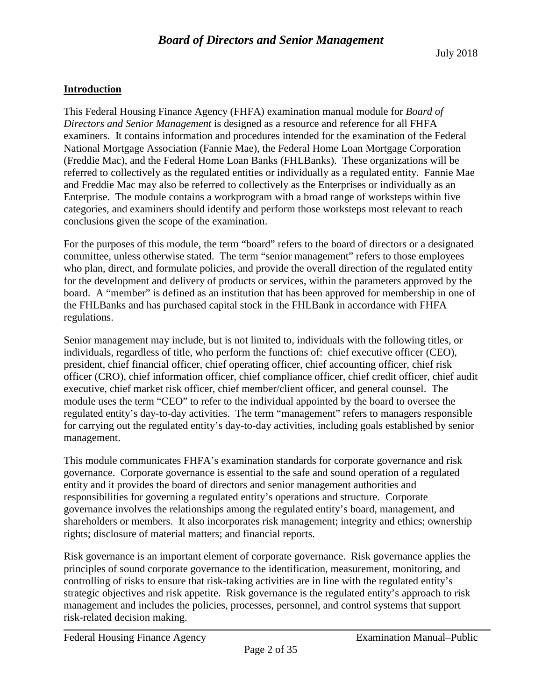## <span id="page-1-0"></span>**Introduction**

This Federal Housing Finance Agency (FHFA) examination manual module for *Board of Directors and Senior Management* is designed as a resource and reference for all FHFA examiners. It contains information and procedures intended for the examination of the Federal National Mortgage Association (Fannie Mae), the Federal Home Loan Mortgage Corporation (Freddie Mac), and the Federal Home Loan Banks (FHLBanks). These organizations will be referred to collectively as the regulated entities or individually as a regulated entity. Fannie Mae and Freddie Mac may also be referred to collectively as the Enterprises or individually as an Enterprise. The module contains a workprogram with a broad range of worksteps within five categories, and examiners should identify and perform those worksteps most relevant to reach conclusions given the scope of the examination.

For the purposes of this module, the term "board" refers to the board of directors or a designated committee, unless otherwise stated. The term "senior management" refers to those employees who plan, direct, and formulate policies, and provide the overall direction of the regulated entity for the development and delivery of products or services, within the parameters approved by the board. A "member" is defined as an institution that has been approved for membership in one of the FHLBanks and has purchased capital stock in the FHLBank in accordance with FHFA regulations.

Senior management may include, but is not limited to, individuals with the following titles, or individuals, regardless of title, who perform the functions of: chief executive officer (CEO), president, chief financial officer, chief operating officer, chief accounting officer, chief risk officer (CRO), chief information officer, chief compliance officer, chief credit officer, chief audit executive, chief market risk officer, chief member/client officer, and general counsel. The module uses the term "CEO" to refer to the individual appointed by the board to oversee the regulated entity's day-to-day activities. The term "management" refers to managers responsible for carrying out the regulated entity's day-to-day activities, including goals established by senior management.

This module communicates FHFA's examination standards for corporate governance and risk governance. Corporate governance is essential to the safe and sound operation of a regulated entity and it provides the board of directors and senior management authorities and responsibilities for governing a regulated entity's operations and structure. Corporate governance involves the relationships among the regulated entity's board, management, and shareholders or members. It also incorporates risk management; integrity and ethics; ownership rights; disclosure of material matters; and financial reports.

Risk governance is an important element of corporate governance. Risk governance applies the principles of sound corporate governance to the identification, measurement, monitoring, and controlling of risks to ensure that risk-taking activities are in line with the regulated entity's strategic objectives and risk appetite. Risk governance is the regulated entity's approach to risk management and includes the policies, processes, personnel, and control systems that support risk-related decision making.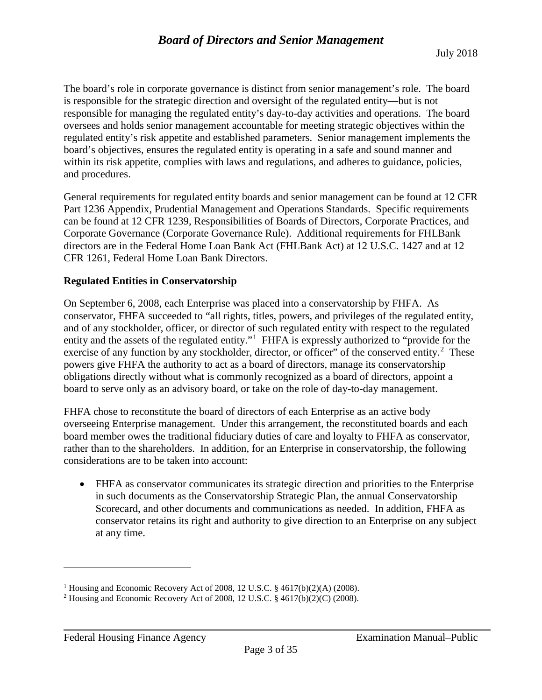The board's role in corporate governance is distinct from senior management's role. The board is responsible for the strategic direction and oversight of the regulated entity—but is not responsible for managing the regulated entity's day-to-day activities and operations. The board oversees and holds senior management accountable for meeting strategic objectives within the regulated entity's risk appetite and established parameters. Senior management implements the board's objectives, ensures the regulated entity is operating in a safe and sound manner and within its risk appetite, complies with laws and regulations, and adheres to guidance, policies, and procedures.

General requirements for regulated entity boards and senior management can be found at 12 CFR Part 1236 Appendix, Prudential Management and Operations Standards. Specific requirements can be found at 12 CFR 1239, Responsibilities of Boards of Directors, Corporate Practices, and Corporate Governance (Corporate Governance Rule). Additional requirements for FHLBank directors are in the Federal Home Loan Bank Act (FHLBank Act) at 12 U.S.C. 1427 and at 12 CFR 1261, Federal Home Loan Bank Directors.

#### <span id="page-2-0"></span>**Regulated Entities in Conservatorship**

On September 6, 2008, each Enterprise was placed into a conservatorship by FHFA. As conservator, FHFA succeeded to "all rights, titles, powers, and privileges of the regulated entity, and of any stockholder, officer, or director of such regulated entity with respect to the regulated entity and the assets of the regulated entity."<sup>[1](#page-2-1)</sup> FHFA is expressly authorized to "provide for the exercise of any function by any stockholder, director, or officer" of the conserved entity. $2$  These powers give FHFA the authority to act as a board of directors, manage its conservatorship obligations directly without what is commonly recognized as a board of directors, appoint a board to serve only as an advisory board, or take on the role of day-to-day management.

FHFA chose to reconstitute the board of directors of each Enterprise as an active body overseeing Enterprise management. Under this arrangement, the reconstituted boards and each board member owes the traditional fiduciary duties of care and loyalty to FHFA as conservator, rather than to the shareholders. In addition, for an Enterprise in conservatorship, the following considerations are to be taken into account:

• FHFA as conservator communicates its strategic direction and priorities to the Enterprise in such documents as the Conservatorship Strategic Plan, the annual Conservatorship Scorecard, and other documents and communications as needed. In addition, FHFA as conservator retains its right and authority to give direction to an Enterprise on any subject at any time.

 $\overline{a}$ 

<span id="page-2-1"></span><sup>&</sup>lt;sup>1</sup> Housing and Economic Recovery Act of 2008, 12 U.S.C. § 4617(b)(2)(A) (2008).

<span id="page-2-2"></span><sup>2</sup> Housing and Economic Recovery Act of 2008, 12 U.S.C. § 4617(b)(2)(C) (2008).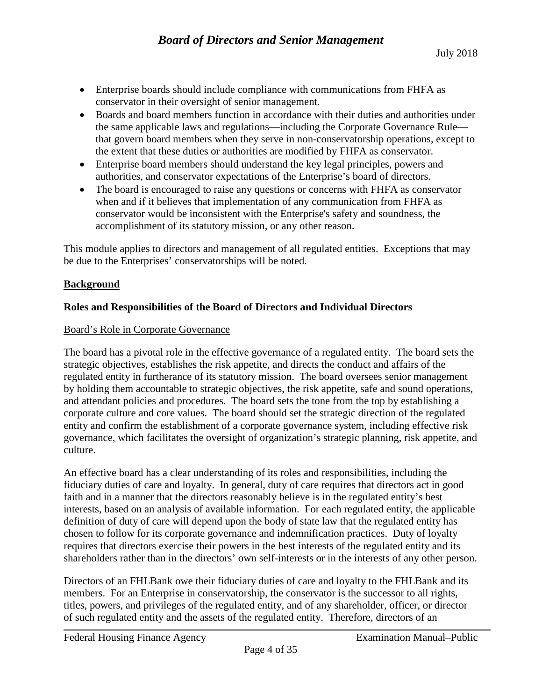- Enterprise boards should include compliance with communications from FHFA as conservator in their oversight of senior management.
- Boards and board members function in accordance with their duties and authorities under the same applicable laws and regulations—including the Corporate Governance Rule that govern board members when they serve in non-conservatorship operations, except to the extent that these duties or authorities are modified by FHFA as conservator.
- Enterprise board members should understand the key legal principles, powers and authorities, and conservator expectations of the Enterprise's board of directors.
- The board is encouraged to raise any questions or concerns with FHFA as conservator when and if it believes that implementation of any communication from FHFA as conservator would be inconsistent with the Enterprise's safety and soundness, the accomplishment of its statutory mission, or any other reason.

This module applies to directors and management of all regulated entities. Exceptions that may be due to the Enterprises' conservatorships will be noted.

## <span id="page-3-0"></span>**Background**

# <span id="page-3-1"></span>**Roles and Responsibilities of the Board of Directors and Individual Directors**

## <span id="page-3-2"></span>Board's Role in Corporate Governance

The board has a pivotal role in the effective governance of a regulated entity. The board sets the strategic objectives, establishes the risk appetite, and directs the conduct and affairs of the regulated entity in furtherance of its statutory mission. The board oversees senior management by holding them accountable to strategic objectives, the risk appetite, safe and sound operations, and attendant policies and procedures. The board sets the tone from the top by establishing a corporate culture and core values. The board should set the strategic direction of the regulated entity and confirm the establishment of a corporate governance system, including effective risk governance, which facilitates the oversight of organization's strategic planning, risk appetite, and culture.

An effective board has a clear understanding of its roles and responsibilities, including the fiduciary duties of care and loyalty. In general, duty of care requires that directors act in good faith and in a manner that the directors reasonably believe is in the regulated entity's best interests, based on an analysis of available information. For each regulated entity, the applicable definition of duty of care will depend upon the body of state law that the regulated entity has chosen to follow for its corporate governance and indemnification practices. Duty of loyalty requires that directors exercise their powers in the best interests of the regulated entity and its shareholders rather than in the directors' own self-interests or in the interests of any other person.

Directors of an FHLBank owe their fiduciary duties of care and loyalty to the FHLBank and its members. For an Enterprise in conservatorship, the conservator is the successor to all rights, titles, powers, and privileges of the regulated entity, and of any shareholder, officer, or director of such regulated entity and the assets of the regulated entity. Therefore, directors of an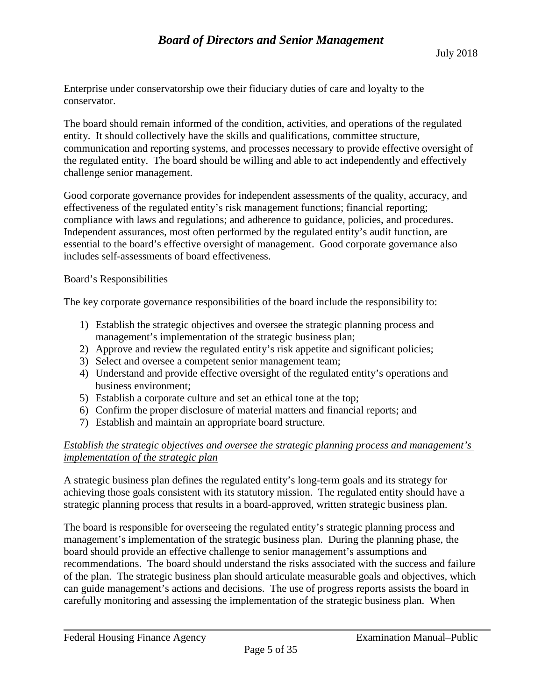Enterprise under conservatorship owe their fiduciary duties of care and loyalty to the conservator.

The board should remain informed of the condition, activities, and operations of the regulated entity. It should collectively have the skills and qualifications, committee structure, communication and reporting systems, and processes necessary to provide effective oversight of the regulated entity. The board should be willing and able to act independently and effectively challenge senior management.

Good corporate governance provides for independent assessments of the quality, accuracy, and effectiveness of the regulated entity's risk management functions; financial reporting; compliance with laws and regulations; and adherence to guidance, policies, and procedures. Independent assurances, most often performed by the regulated entity's audit function, are essential to the board's effective oversight of management. Good corporate governance also includes self-assessments of board effectiveness.

#### <span id="page-4-0"></span>Board's Responsibilities

The key corporate governance responsibilities of the board include the responsibility to:

- 1) Establish the strategic objectives and oversee the strategic planning process and management's implementation of the strategic business plan;
- 2) Approve and review the regulated entity's risk appetite and significant policies;
- 3) Select and oversee a competent senior management team;
- 4) Understand and provide effective oversight of the regulated entity's operations and business environment;
- 5) Establish a corporate culture and set an ethical tone at the top;
- 6) Confirm the proper disclosure of material matters and financial reports; and
- 7) Establish and maintain an appropriate board structure.

## *Establish the strategic objectives and oversee the strategic planning process and management's implementation of the strategic plan*

A strategic business plan defines the regulated entity's long-term goals and its strategy for achieving those goals consistent with its statutory mission. The regulated entity should have a strategic planning process that results in a board-approved, written strategic business plan.

The board is responsible for overseeing the regulated entity's strategic planning process and management's implementation of the strategic business plan. During the planning phase, the board should provide an effective challenge to senior management's assumptions and recommendations. The board should understand the risks associated with the success and failure of the plan. The strategic business plan should articulate measurable goals and objectives, which can guide management's actions and decisions. The use of progress reports assists the board in carefully monitoring and assessing the implementation of the strategic business plan. When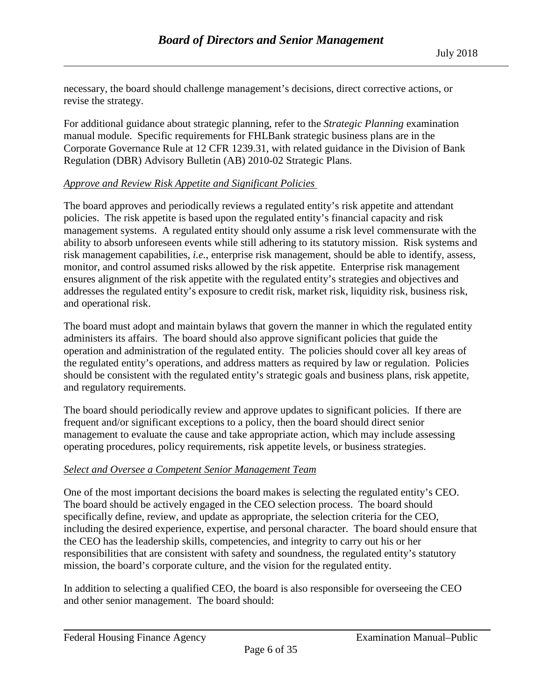necessary, the board should challenge management's decisions, direct corrective actions, or revise the strategy.

For additional guidance about strategic planning, refer to the *Strategic Planning* examination manual module. Specific requirements for FHLBank strategic business plans are in the Corporate Governance Rule at 12 CFR 1239.31, with related guidance in the Division of Bank Regulation (DBR) Advisory Bulletin (AB) 2010-02 Strategic Plans.

#### *Approve and Review Risk Appetite and Significant Policies*

The board approves and periodically reviews a regulated entity's risk appetite and attendant policies. The risk appetite is based upon the regulated entity's financial capacity and risk management systems. A regulated entity should only assume a risk level commensurate with the ability to absorb unforeseen events while still adhering to its statutory mission. Risk systems and risk management capabilities, *i.e.*, enterprise risk management, should be able to identify, assess, monitor, and control assumed risks allowed by the risk appetite. Enterprise risk management ensures alignment of the risk appetite with the regulated entity's strategies and objectives and addresses the regulated entity's exposure to credit risk, market risk, liquidity risk, business risk, and operational risk.

The board must adopt and maintain bylaws that govern the manner in which the regulated entity administers its affairs. The board should also approve significant policies that guide the operation and administration of the regulated entity. The policies should cover all key areas of the regulated entity's operations, and address matters as required by law or regulation. Policies should be consistent with the regulated entity's strategic goals and business plans, risk appetite, and regulatory requirements.

The board should periodically review and approve updates to significant policies. If there are frequent and/or significant exceptions to a policy, then the board should direct senior management to evaluate the cause and take appropriate action, which may include assessing operating procedures, policy requirements, risk appetite levels, or business strategies.

#### *Select and Oversee a Competent Senior Management Team*

One of the most important decisions the board makes is selecting the regulated entity's CEO. The board should be actively engaged in the CEO selection process. The board should specifically define, review, and update as appropriate, the selection criteria for the CEO, including the desired experience, expertise, and personal character. The board should ensure that the CEO has the leadership skills, competencies, and integrity to carry out his or her responsibilities that are consistent with safety and soundness, the regulated entity's statutory mission, the board's corporate culture, and the vision for the regulated entity.

In addition to selecting a qualified CEO, the board is also responsible for overseeing the CEO and other senior management. The board should: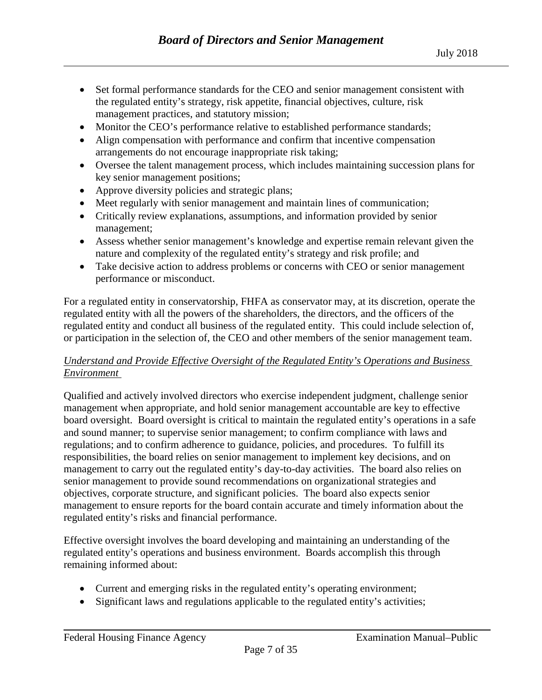- Set formal performance standards for the CEO and senior management consistent with the regulated entity's strategy, risk appetite, financial objectives, culture, risk management practices, and statutory mission;
- Monitor the CEO's performance relative to established performance standards;
- Align compensation with performance and confirm that incentive compensation arrangements do not encourage inappropriate risk taking;
- Oversee the talent management process, which includes maintaining succession plans for key senior management positions;
- Approve diversity policies and strategic plans;
- Meet regularly with senior management and maintain lines of communication;
- Critically review explanations, assumptions, and information provided by senior management;
- Assess whether senior management's knowledge and expertise remain relevant given the nature and complexity of the regulated entity's strategy and risk profile; and
- Take decisive action to address problems or concerns with CEO or senior management performance or misconduct.

For a regulated entity in conservatorship, FHFA as conservator may, at its discretion, operate the regulated entity with all the powers of the shareholders, the directors, and the officers of the regulated entity and conduct all business of the regulated entity. This could include selection of, or participation in the selection of, the CEO and other members of the senior management team.

## *Understand and Provide Effective Oversight of the Regulated Entity's Operations and Business Environment*

Qualified and actively involved directors who exercise independent judgment, challenge senior management when appropriate, and hold senior management accountable are key to effective board oversight. Board oversight is critical to maintain the regulated entity's operations in a safe and sound manner; to supervise senior management; to confirm compliance with laws and regulations; and to confirm adherence to guidance, policies, and procedures. To fulfill its responsibilities, the board relies on senior management to implement key decisions, and on management to carry out the regulated entity's day-to-day activities. The board also relies on senior management to provide sound recommendations on organizational strategies and objectives, corporate structure, and significant policies. The board also expects senior management to ensure reports for the board contain accurate and timely information about the regulated entity's risks and financial performance.

Effective oversight involves the board developing and maintaining an understanding of the regulated entity's operations and business environment. Boards accomplish this through remaining informed about:

- Current and emerging risks in the regulated entity's operating environment;
- Significant laws and regulations applicable to the regulated entity's activities;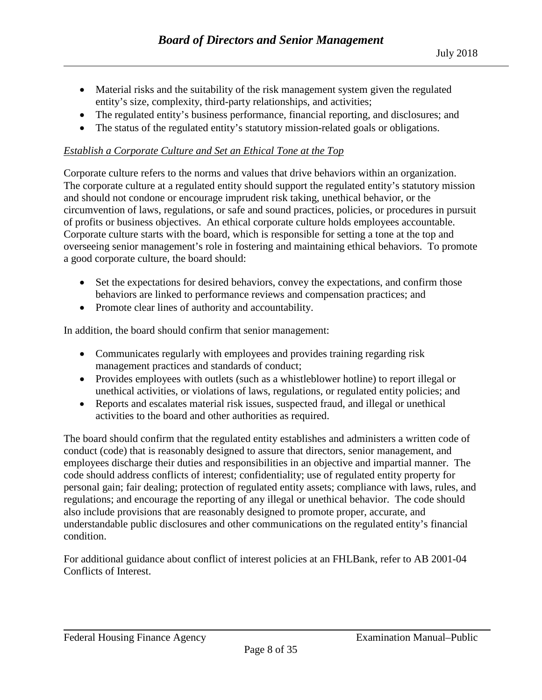- Material risks and the suitability of the risk management system given the regulated entity's size, complexity, third-party relationships, and activities;
- The regulated entity's business performance, financial reporting, and disclosures; and
- The status of the regulated entity's statutory mission-related goals or obligations.

## *Establish a Corporate Culture and Set an Ethical Tone at the Top*

Corporate culture refers to the norms and values that drive behaviors within an organization. The corporate culture at a regulated entity should support the regulated entity's statutory mission and should not condone or encourage imprudent risk taking, unethical behavior, or the circumvention of laws, regulations, or safe and sound practices, policies, or procedures in pursuit of profits or business objectives. An ethical corporate culture holds employees accountable. Corporate culture starts with the board, which is responsible for setting a tone at the top and overseeing senior management's role in fostering and maintaining ethical behaviors. To promote a good corporate culture, the board should:

- Set the expectations for desired behaviors, convey the expectations, and confirm those behaviors are linked to performance reviews and compensation practices; and
- Promote clear lines of authority and accountability.

In addition, the board should confirm that senior management:

- Communicates regularly with employees and provides training regarding risk management practices and standards of conduct;
- Provides employees with outlets (such as a whistleblower hotline) to report illegal or unethical activities, or violations of laws, regulations, or regulated entity policies; and
- Reports and escalates material risk issues, suspected fraud, and illegal or unethical activities to the board and other authorities as required.

The board should confirm that the regulated entity establishes and administers a written code of conduct (code) that is reasonably designed to assure that directors, senior management, and employees discharge their duties and responsibilities in an objective and impartial manner. The code should address conflicts of interest; confidentiality; use of regulated entity property for personal gain; fair dealing; protection of regulated entity assets; compliance with laws, rules, and regulations; and encourage the reporting of any illegal or unethical behavior. The code should also include provisions that are reasonably designed to promote proper, accurate, and understandable public disclosures and other communications on the regulated entity's financial condition.

For additional guidance about conflict of interest policies at an FHLBank, refer to AB 2001-04 Conflicts of Interest.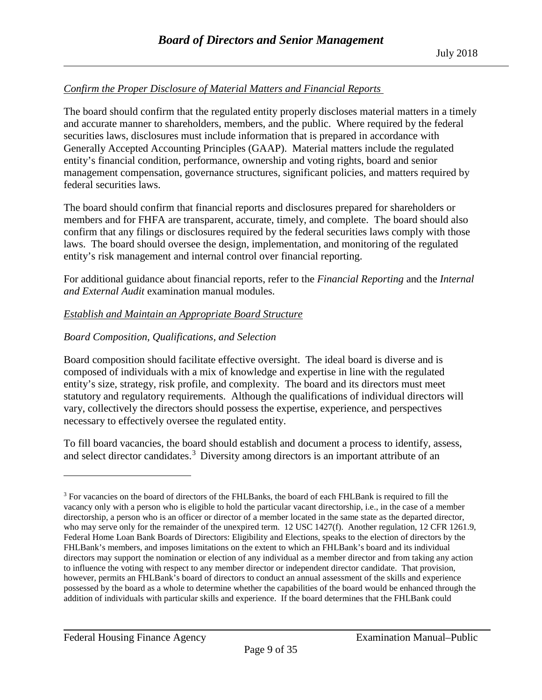## *Confirm the Proper Disclosure of Material Matters and Financial Reports*

The board should confirm that the regulated entity properly discloses material matters in a timely and accurate manner to shareholders, members, and the public. Where required by the federal securities laws, disclosures must include information that is prepared in accordance with Generally Accepted Accounting Principles (GAAP). Material matters include the regulated entity's financial condition, performance, ownership and voting rights, board and senior management compensation, governance structures, significant policies, and matters required by federal securities laws.

The board should confirm that financial reports and disclosures prepared for shareholders or members and for FHFA are transparent, accurate, timely, and complete. The board should also confirm that any filings or disclosures required by the federal securities laws comply with those laws. The board should oversee the design, implementation, and monitoring of the regulated entity's risk management and internal control over financial reporting.

For additional guidance about financial reports, refer to the *Financial Reporting* and the *Internal and External Audit* examination manual modules.

## *Establish and Maintain an Appropriate Board Structure*

## *Board Composition, Qualifications, and Selection*

Board composition should facilitate effective oversight. The ideal board is diverse and is composed of individuals with a mix of knowledge and expertise in line with the regulated entity's size, strategy, risk profile, and complexity. The board and its directors must meet statutory and regulatory requirements. Although the qualifications of individual directors will vary, collectively the directors should possess the expertise, experience, and perspectives necessary to effectively oversee the regulated entity.

To fill board vacancies, the board should establish and document a process to identify, assess, and select director candidates.<sup>[3](#page-8-0)</sup> Diversity among directors is an important attribute of an

 $\overline{a}$ 

<span id="page-8-0"></span><sup>&</sup>lt;sup>3</sup> For vacancies on the board of directors of the FHLBanks, the board of each FHLBank is required to fill the vacancy only with a person who is eligible to hold the particular vacant directorship, i.e., in the case of a member directorship, a person who is an officer or director of a member located in the same state as the departed director, who may serve only for the remainder of the unexpired term. 12 USC 1427(f). Another regulation, 12 CFR 1261.9, Federal Home Loan Bank Boards of Directors: Eligibility and Elections, speaks to the election of directors by the FHLBank's members, and imposes limitations on the extent to which an FHLBank's board and its individual directors may support the nomination or election of any individual as a member director and from taking any action to influence the voting with respect to any member director or independent director candidate. That provision, however, permits an FHLBank's board of directors to conduct an annual assessment of the skills and experience possessed by the board as a whole to determine whether the capabilities of the board would be enhanced through the addition of individuals with particular skills and experience. If the board determines that the FHLBank could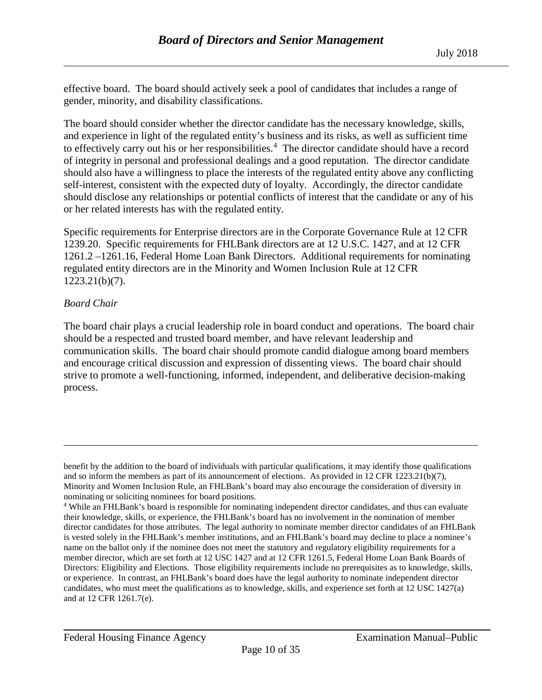effective board. The board should actively seek a pool of candidates that includes a range of gender, minority, and disability classifications.

The board should consider whether the director candidate has the necessary knowledge, skills, and experience in light of the regulated entity's business and its risks, as well as sufficient time to effectively carry out his or her responsibilities.<sup>[4](#page-9-0)</sup> The director candidate should have a record of integrity in personal and professional dealings and a good reputation. The director candidate should also have a willingness to place the interests of the regulated entity above any conflicting self-interest, consistent with the expected duty of loyalty. Accordingly, the director candidate should disclose any relationships or potential conflicts of interest that the candidate or any of his or her related interests has with the regulated entity.

Specific requirements for Enterprise directors are in the Corporate Governance Rule at 12 CFR 1239.20. Specific requirements for FHLBank directors are at 12 U.S.C. 1427, and at 12 CFR 1261.2 –1261.16, Federal Home Loan Bank Directors. Additional requirements for nominating regulated entity directors are in the Minority and Women Inclusion Rule at 12 CFR 1223.21(b)(7).

## *Board Chair*

 $\overline{a}$ 

The board chair plays a crucial leadership role in board conduct and operations. The board chair should be a respected and trusted board member, and have relevant leadership and communication skills. The board chair should promote candid dialogue among board members and encourage critical discussion and expression of dissenting views. The board chair should strive to promote a well-functioning, informed, independent, and deliberative decision-making process.

benefit by the addition to the board of individuals with particular qualifications, it may identify those qualifications and so inform the members as part of its announcement of elections. As provided in 12 CFR 1223.21(b)(7), Minority and Women Inclusion Rule, an FHLBank's board may also encourage the consideration of diversity in nominating or soliciting nominees for board positions.

<span id="page-9-0"></span><sup>4</sup> While an FHLBank's board is responsible for nominating independent director candidates, and thus can evaluate their knowledge, skills, or experience, the FHLBank's board has no involvement in the nomination of member director candidates for those attributes. The legal authority to nominate member director candidates of an FHLBank is vested solely in the FHLBank's member institutions, and an FHLBank's board may decline to place a nominee's name on the ballot only if the nominee does not meet the statutory and regulatory eligibility requirements for a member director, which are set forth at 12 USC 1427 and at 12 CFR 1261.5, Federal Home Loan Bank Boards of Directors: Eligibility and Elections. Those eligibility requirements include no prerequisites as to knowledge, skills, or experience. In contrast, an FHLBank's board does have the legal authority to nominate independent director candidates, who must meet the qualifications as to knowledge, skills, and experience set forth at 12 USC 1427(a) and at 12 CFR 1261.7(e).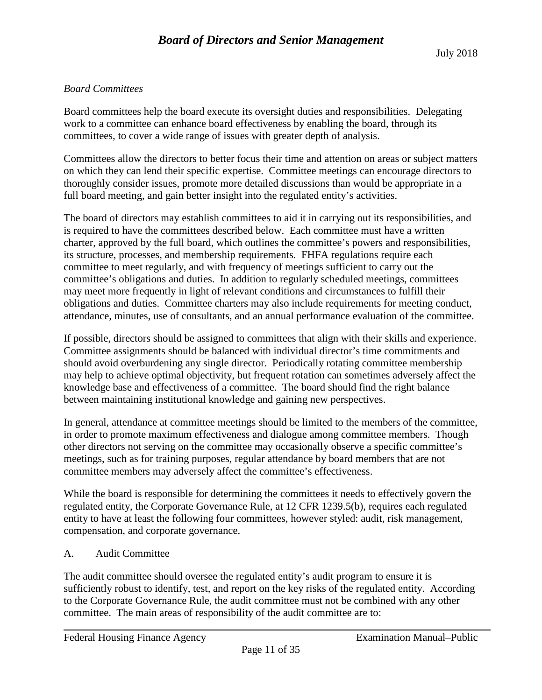## *Board Committees*

Board committees help the board execute its oversight duties and responsibilities. Delegating work to a committee can enhance board effectiveness by enabling the board, through its committees, to cover a wide range of issues with greater depth of analysis.

Committees allow the directors to better focus their time and attention on areas or subject matters on which they can lend their specific expertise. Committee meetings can encourage directors to thoroughly consider issues, promote more detailed discussions than would be appropriate in a full board meeting, and gain better insight into the regulated entity's activities.

The board of directors may establish committees to aid it in carrying out its responsibilities, and is required to have the committees described below. Each committee must have a written charter, approved by the full board, which outlines the committee's powers and responsibilities, its structure, processes, and membership requirements. FHFA regulations require each committee to meet regularly, and with frequency of meetings sufficient to carry out the committee's obligations and duties. In addition to regularly scheduled meetings, committees may meet more frequently in light of relevant conditions and circumstances to fulfill their obligations and duties. Committee charters may also include requirements for meeting conduct, attendance, minutes, use of consultants, and an annual performance evaluation of the committee.

If possible, directors should be assigned to committees that align with their skills and experience. Committee assignments should be balanced with individual director's time commitments and should avoid overburdening any single director. Periodically rotating committee membership may help to achieve optimal objectivity, but frequent rotation can sometimes adversely affect the knowledge base and effectiveness of a committee. The board should find the right balance between maintaining institutional knowledge and gaining new perspectives.

In general, attendance at committee meetings should be limited to the members of the committee, in order to promote maximum effectiveness and dialogue among committee members. Though other directors not serving on the committee may occasionally observe a specific committee's meetings, such as for training purposes, regular attendance by board members that are not committee members may adversely affect the committee's effectiveness.

While the board is responsible for determining the committees it needs to effectively govern the regulated entity, the Corporate Governance Rule, at 12 CFR 1239.5(b), requires each regulated entity to have at least the following four committees, however styled: audit, risk management, compensation, and corporate governance.

## A. Audit Committee

The audit committee should oversee the regulated entity's audit program to ensure it is sufficiently robust to identify, test, and report on the key risks of the regulated entity. According to the Corporate Governance Rule, the audit committee must not be combined with any other committee. The main areas of responsibility of the audit committee are to: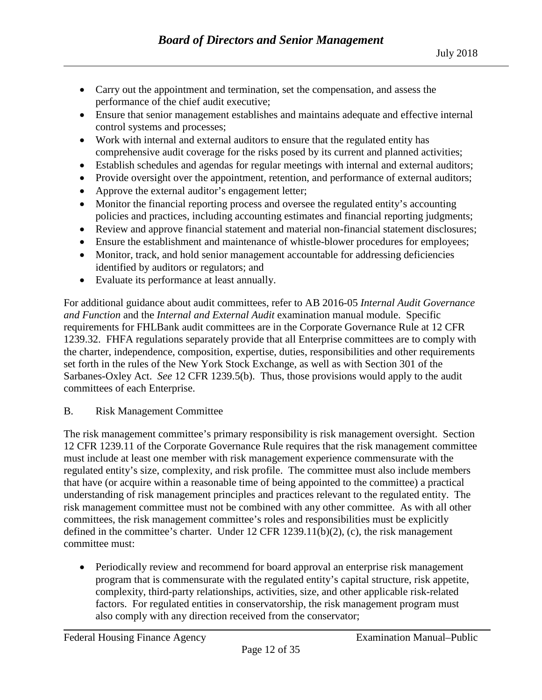- Carry out the appointment and termination, set the compensation, and assess the performance of the chief audit executive;
- Ensure that senior management establishes and maintains adequate and effective internal control systems and processes;
- Work with internal and external auditors to ensure that the regulated entity has comprehensive audit coverage for the risks posed by its current and planned activities;
- Establish schedules and agendas for regular meetings with internal and external auditors;
- Provide oversight over the appointment, retention, and performance of external auditors;
- Approve the external auditor's engagement letter;
- Monitor the financial reporting process and oversee the regulated entity's accounting policies and practices, including accounting estimates and financial reporting judgments;
- Review and approve financial statement and material non-financial statement disclosures;
- Ensure the establishment and maintenance of whistle-blower procedures for employees;
- Monitor, track, and hold senior management accountable for addressing deficiencies identified by auditors or regulators; and
- Evaluate its performance at least annually.

For additional guidance about audit committees, refer to AB 2016-05 *Internal Audit Governance and Function* and the *Internal and External Audit* examination manual module. Specific requirements for FHLBank audit committees are in the Corporate Governance Rule at 12 CFR 1239.32. FHFA regulations separately provide that all Enterprise committees are to comply with the charter, independence, composition, expertise, duties, responsibilities and other requirements set forth in the rules of the New York Stock Exchange, as well as with Section 301 of the Sarbanes-Oxley Act. *See* 12 CFR 1239.5(b). Thus, those provisions would apply to the audit committees of each Enterprise.

#### B. Risk Management Committee

The risk management committee's primary responsibility is risk management oversight. Section 12 CFR 1239.11 of the Corporate Governance Rule requires that the risk management committee must include at least one member with risk management experience commensurate with the regulated entity's size, complexity, and risk profile. The committee must also include members that have (or acquire within a reasonable time of being appointed to the committee) a practical understanding of risk management principles and practices relevant to the regulated entity. The risk management committee must not be combined with any other committee. As with all other committees, the risk management committee's roles and responsibilities must be explicitly defined in the committee's charter. Under 12 CFR 1239.11(b)(2), (c), the risk management committee must:

• Periodically review and recommend for board approval an enterprise risk management program that is commensurate with the regulated entity's capital structure, risk appetite, complexity, third-party relationships, activities, size, and other applicable risk-related factors. For regulated entities in conservatorship, the risk management program must also comply with any direction received from the conservator;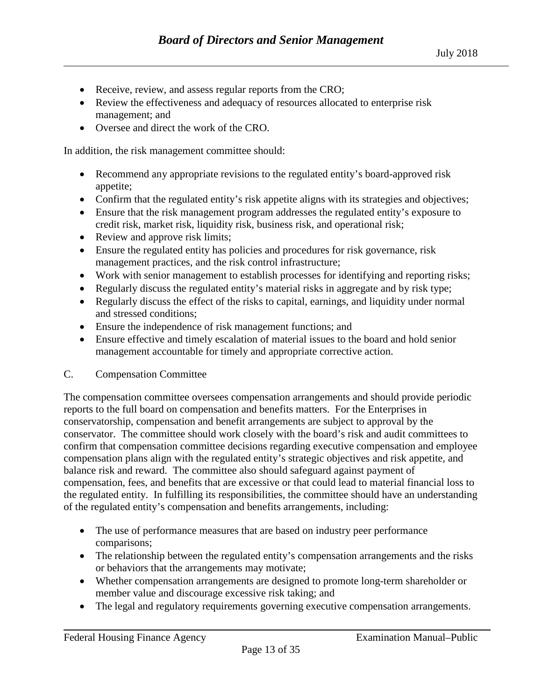- Receive, review, and assess regular reports from the CRO;
- Review the effectiveness and adequacy of resources allocated to enterprise risk management; and
- Oversee and direct the work of the CRO.

In addition, the risk management committee should:

- Recommend any appropriate revisions to the regulated entity's board-approved risk appetite;
- Confirm that the regulated entity's risk appetite aligns with its strategies and objectives;
- Ensure that the risk management program addresses the regulated entity's exposure to credit risk, market risk, liquidity risk, business risk, and operational risk;
- Review and approve risk limits;
- Ensure the regulated entity has policies and procedures for risk governance, risk management practices, and the risk control infrastructure;
- Work with senior management to establish processes for identifying and reporting risks;
- Regularly discuss the regulated entity's material risks in aggregate and by risk type;
- Regularly discuss the effect of the risks to capital, earnings, and liquidity under normal and stressed conditions;
- Ensure the independence of risk management functions; and
- Ensure effective and timely escalation of material issues to the board and hold senior management accountable for timely and appropriate corrective action.

#### C. Compensation Committee

The compensation committee oversees compensation arrangements and should provide periodic reports to the full board on compensation and benefits matters. For the Enterprises in conservatorship, compensation and benefit arrangements are subject to approval by the conservator. The committee should work closely with the board's risk and audit committees to confirm that compensation committee decisions regarding executive compensation and employee compensation plans align with the regulated entity's strategic objectives and risk appetite, and balance risk and reward. The committee also should safeguard against payment of compensation, fees, and benefits that are excessive or that could lead to material financial loss to the regulated entity. In fulfilling its responsibilities, the committee should have an understanding of the regulated entity's compensation and benefits arrangements, including:

- The use of performance measures that are based on industry peer performance comparisons;
- The relationship between the regulated entity's compensation arrangements and the risks or behaviors that the arrangements may motivate;
- Whether compensation arrangements are designed to promote long-term shareholder or member value and discourage excessive risk taking; and
- The legal and regulatory requirements governing executive compensation arrangements.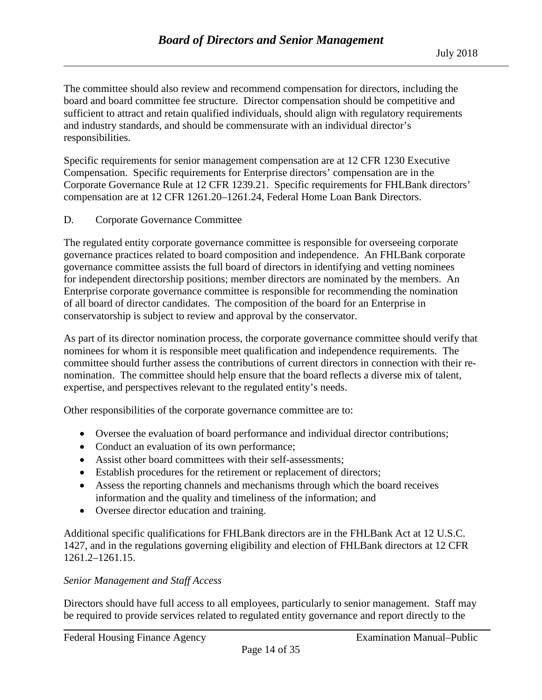The committee should also review and recommend compensation for directors, including the board and board committee fee structure. Director compensation should be competitive and sufficient to attract and retain qualified individuals, should align with regulatory requirements and industry standards, and should be commensurate with an individual director's responsibilities.

Specific requirements for senior management compensation are at 12 CFR 1230 Executive Compensation. Specific requirements for Enterprise directors' compensation are in the Corporate Governance Rule at 12 CFR 1239.21. Specific requirements for FHLBank directors' compensation are at 12 CFR 1261.20–1261.24, Federal Home Loan Bank Directors.

D. Corporate Governance Committee

The regulated entity corporate governance committee is responsible for overseeing corporate governance practices related to board composition and independence. An FHLBank corporate governance committee assists the full board of directors in identifying and vetting nominees for independent directorship positions; member directors are nominated by the members. An Enterprise corporate governance committee is responsible for recommending the nomination of all board of director candidates. The composition of the board for an Enterprise in conservatorship is subject to review and approval by the conservator.

As part of its director nomination process, the corporate governance committee should verify that nominees for whom it is responsible meet qualification and independence requirements. The committee should further assess the contributions of current directors in connection with their renomination. The committee should help ensure that the board reflects a diverse mix of talent, expertise, and perspectives relevant to the regulated entity's needs.

Other responsibilities of the corporate governance committee are to:

- Oversee the evaluation of board performance and individual director contributions;
- Conduct an evaluation of its own performance;
- Assist other board committees with their self-assessments;
- Establish procedures for the retirement or replacement of directors;
- Assess the reporting channels and mechanisms through which the board receives information and the quality and timeliness of the information; and
- Oversee director education and training.

Additional specific qualifications for FHLBank directors are in the FHLBank Act at 12 U.S.C. 1427, and in the regulations governing eligibility and election of FHLBank directors at 12 CFR 1261.2–1261.15.

#### *Senior Management and Staff Access*

Directors should have full access to all employees, particularly to senior management. Staff may be required to provide services related to regulated entity governance and report directly to the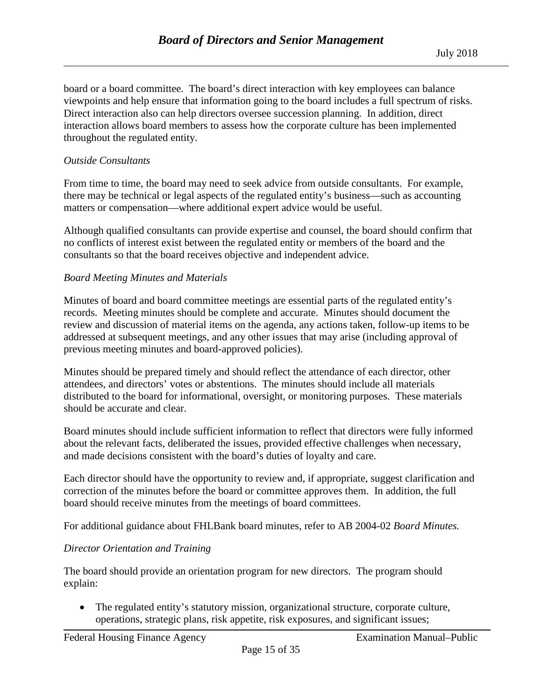board or a board committee. The board's direct interaction with key employees can balance viewpoints and help ensure that information going to the board includes a full spectrum of risks. Direct interaction also can help directors oversee succession planning. In addition, direct interaction allows board members to assess how the corporate culture has been implemented throughout the regulated entity.

#### *Outside Consultants*

From time to time, the board may need to seek advice from outside consultants. For example, there may be technical or legal aspects of the regulated entity's business—such as accounting matters or compensation—where additional expert advice would be useful.

Although qualified consultants can provide expertise and counsel, the board should confirm that no conflicts of interest exist between the regulated entity or members of the board and the consultants so that the board receives objective and independent advice.

## *Board Meeting Minutes and Materials*

Minutes of board and board committee meetings are essential parts of the regulated entity's records. Meeting minutes should be complete and accurate. Minutes should document the review and discussion of material items on the agenda, any actions taken, follow-up items to be addressed at subsequent meetings, and any other issues that may arise (including approval of previous meeting minutes and board-approved policies).

Minutes should be prepared timely and should reflect the attendance of each director, other attendees, and directors' votes or abstentions. The minutes should include all materials distributed to the board for informational, oversight, or monitoring purposes. These materials should be accurate and clear.

Board minutes should include sufficient information to reflect that directors were fully informed about the relevant facts, deliberated the issues, provided effective challenges when necessary, and made decisions consistent with the board's duties of loyalty and care.

Each director should have the opportunity to review and, if appropriate, suggest clarification and correction of the minutes before the board or committee approves them. In addition, the full board should receive minutes from the meetings of board committees.

For additional guidance about FHLBank board minutes, refer to AB 2004-02 *Board Minutes.*

## *Director Orientation and Training*

The board should provide an orientation program for new directors. The program should explain:

• The regulated entity's statutory mission, organizational structure, corporate culture, operations, strategic plans, risk appetite, risk exposures, and significant issues;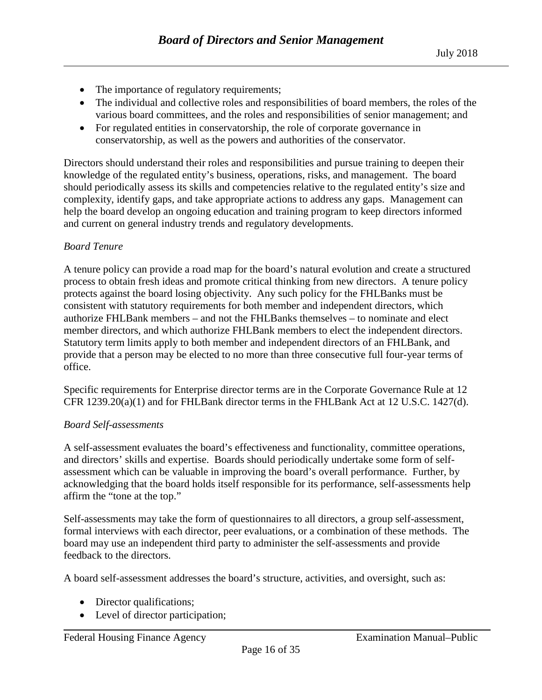- The importance of regulatory requirements;
- The individual and collective roles and responsibilities of board members, the roles of the various board committees, and the roles and responsibilities of senior management; and
- For regulated entities in conservatorship, the role of corporate governance in conservatorship, as well as the powers and authorities of the conservator.

Directors should understand their roles and responsibilities and pursue training to deepen their knowledge of the regulated entity's business, operations, risks, and management. The board should periodically assess its skills and competencies relative to the regulated entity's size and complexity, identify gaps, and take appropriate actions to address any gaps. Management can help the board develop an ongoing education and training program to keep directors informed and current on general industry trends and regulatory developments.

## *Board Tenure*

A tenure policy can provide a road map for the board's natural evolution and create a structured process to obtain fresh ideas and promote critical thinking from new directors. A tenure policy protects against the board losing objectivity. Any such policy for the FHLBanks must be consistent with statutory requirements for both member and independent directors, which authorize FHLBank members – and not the FHLBanks themselves – to nominate and elect member directors, and which authorize FHLBank members to elect the independent directors. Statutory term limits apply to both member and independent directors of an FHLBank, and provide that a person may be elected to no more than three consecutive full four-year terms of office.

Specific requirements for Enterprise director terms are in the Corporate Governance Rule at 12 CFR 1239.20(a)(1) and for FHLBank director terms in the FHLBank Act at 12 U.S.C. 1427(d).

#### *Board Self-assessments*

A self-assessment evaluates the board's effectiveness and functionality, committee operations, and directors' skills and expertise. Boards should periodically undertake some form of selfassessment which can be valuable in improving the board's overall performance. Further, by acknowledging that the board holds itself responsible for its performance, self-assessments help affirm the "tone at the top."

Self-assessments may take the form of questionnaires to all directors, a group self-assessment, formal interviews with each director, peer evaluations, or a combination of these methods. The board may use an independent third party to administer the self-assessments and provide feedback to the directors.

A board self-assessment addresses the board's structure, activities, and oversight, such as:

- Director qualifications;
- Level of director participation;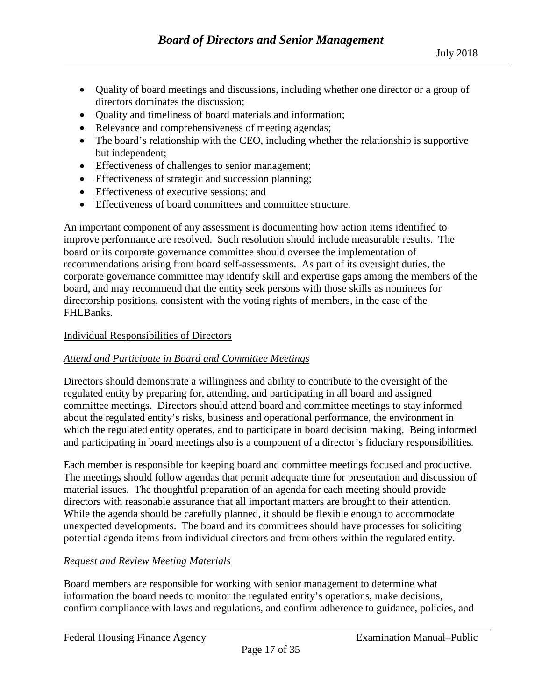- Quality of board meetings and discussions, including whether one director or a group of directors dominates the discussion;
- Quality and timeliness of board materials and information;
- Relevance and comprehensiveness of meeting agendas;
- The board's relationship with the CEO, including whether the relationship is supportive but independent;
- Effectiveness of challenges to senior management;
- Effectiveness of strategic and succession planning;
- Effectiveness of executive sessions: and
- Effectiveness of board committees and committee structure.

An important component of any assessment is documenting how action items identified to improve performance are resolved. Such resolution should include measurable results. The board or its corporate governance committee should oversee the implementation of recommendations arising from board self-assessments. As part of its oversight duties, the corporate governance committee may identify skill and expertise gaps among the members of the board, and may recommend that the entity seek persons with those skills as nominees for directorship positions, consistent with the voting rights of members, in the case of the FHLBanks.

#### <span id="page-16-0"></span>Individual Responsibilities of Directors

#### *Attend and Participate in Board and Committee Meetings*

Directors should demonstrate a willingness and ability to contribute to the oversight of the regulated entity by preparing for, attending, and participating in all board and assigned committee meetings. Directors should attend board and committee meetings to stay informed about the regulated entity's risks, business and operational performance, the environment in which the regulated entity operates, and to participate in board decision making. Being informed and participating in board meetings also is a component of a director's fiduciary responsibilities.

Each member is responsible for keeping board and committee meetings focused and productive. The meetings should follow agendas that permit adequate time for presentation and discussion of material issues. The thoughtful preparation of an agenda for each meeting should provide directors with reasonable assurance that all important matters are brought to their attention. While the agenda should be carefully planned, it should be flexible enough to accommodate unexpected developments. The board and its committees should have processes for soliciting potential agenda items from individual directors and from others within the regulated entity.

#### *Request and Review Meeting Materials*

Board members are responsible for working with senior management to determine what information the board needs to monitor the regulated entity's operations, make decisions, confirm compliance with laws and regulations, and confirm adherence to guidance, policies, and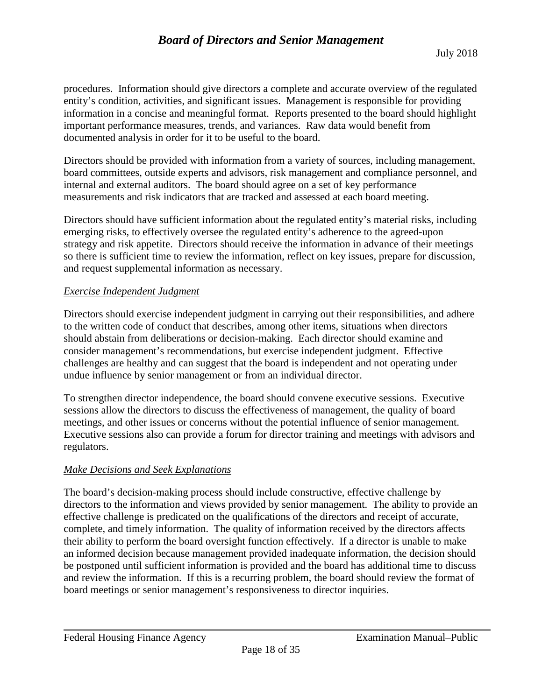procedures. Information should give directors a complete and accurate overview of the regulated entity's condition, activities, and significant issues. Management is responsible for providing information in a concise and meaningful format. Reports presented to the board should highlight important performance measures, trends, and variances. Raw data would benefit from documented analysis in order for it to be useful to the board.

Directors should be provided with information from a variety of sources, including management, board committees, outside experts and advisors, risk management and compliance personnel, and internal and external auditors. The board should agree on a set of key performance measurements and risk indicators that are tracked and assessed at each board meeting.

Directors should have sufficient information about the regulated entity's material risks, including emerging risks, to effectively oversee the regulated entity's adherence to the agreed-upon strategy and risk appetite. Directors should receive the information in advance of their meetings so there is sufficient time to review the information, reflect on key issues, prepare for discussion, and request supplemental information as necessary.

## *Exercise Independent Judgment*

Directors should exercise independent judgment in carrying out their responsibilities, and adhere to the written code of conduct that describes, among other items, situations when directors should abstain from deliberations or decision-making. Each director should examine and consider management's recommendations, but exercise independent judgment. Effective challenges are healthy and can suggest that the board is independent and not operating under undue influence by senior management or from an individual director.

To strengthen director independence, the board should convene executive sessions. Executive sessions allow the directors to discuss the effectiveness of management, the quality of board meetings, and other issues or concerns without the potential influence of senior management. Executive sessions also can provide a forum for director training and meetings with advisors and regulators.

#### *Make Decisions and Seek Explanations*

The board's decision-making process should include constructive, effective challenge by directors to the information and views provided by senior management. The ability to provide an effective challenge is predicated on the qualifications of the directors and receipt of accurate, complete, and timely information. The quality of information received by the directors affects their ability to perform the board oversight function effectively. If a director is unable to make an informed decision because management provided inadequate information, the decision should be postponed until sufficient information is provided and the board has additional time to discuss and review the information. If this is a recurring problem, the board should review the format of board meetings or senior management's responsiveness to director inquiries.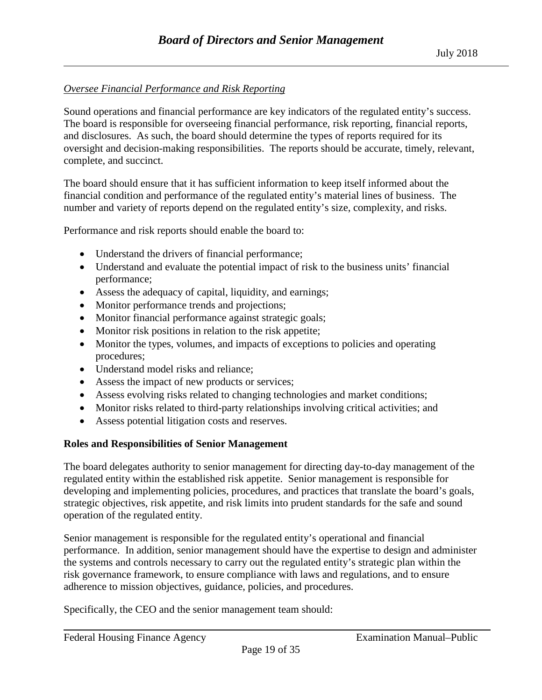## *Oversee Financial Performance and Risk Reporting*

Sound operations and financial performance are key indicators of the regulated entity's success. The board is responsible for overseeing financial performance, risk reporting, financial reports, and disclosures. As such, the board should determine the types of reports required for its oversight and decision-making responsibilities. The reports should be accurate, timely, relevant, complete, and succinct.

The board should ensure that it has sufficient information to keep itself informed about the financial condition and performance of the regulated entity's material lines of business. The number and variety of reports depend on the regulated entity's size, complexity, and risks.

Performance and risk reports should enable the board to:

- Understand the drivers of financial performance;
- Understand and evaluate the potential impact of risk to the business units' financial performance;
- Assess the adequacy of capital, liquidity, and earnings;
- Monitor performance trends and projections;
- Monitor financial performance against strategic goals;
- Monitor risk positions in relation to the risk appetite;
- Monitor the types, volumes, and impacts of exceptions to policies and operating procedures;
- Understand model risks and reliance;
- Assess the impact of new products or services;
- Assess evolving risks related to changing technologies and market conditions;
- Monitor risks related to third-party relationships involving critical activities; and
- Assess potential litigation costs and reserves.

## <span id="page-18-0"></span>**Roles and Responsibilities of Senior Management**

The board delegates authority to senior management for directing day-to-day management of the regulated entity within the established risk appetite. Senior management is responsible for developing and implementing policies, procedures, and practices that translate the board's goals, strategic objectives, risk appetite, and risk limits into prudent standards for the safe and sound operation of the regulated entity.

Senior management is responsible for the regulated entity's operational and financial performance. In addition, senior management should have the expertise to design and administer the systems and controls necessary to carry out the regulated entity's strategic plan within the risk governance framework, to ensure compliance with laws and regulations, and to ensure adherence to mission objectives, guidance, policies, and procedures.

Specifically, the CEO and the senior management team should: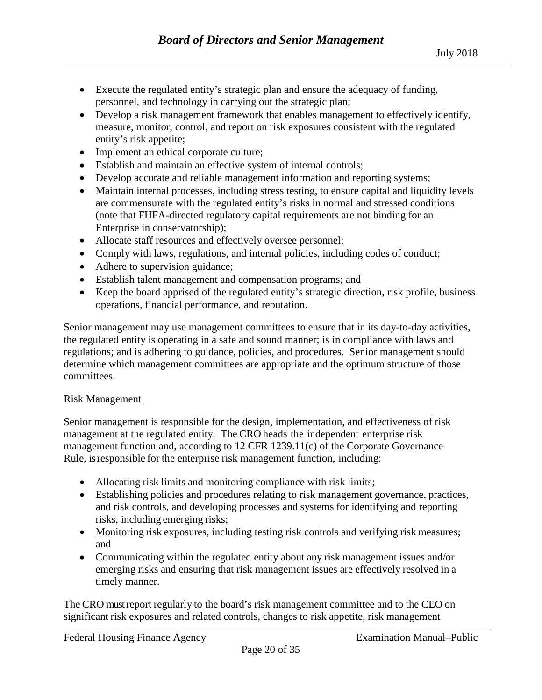- Execute the regulated entity's strategic plan and ensure the adequacy of funding, personnel, and technology in carrying out the strategic plan;
- Develop a risk management framework that enables management to effectively identify, measure, monitor, control, and report on risk exposures consistent with the regulated entity's risk appetite;
- Implement an ethical corporate culture;
- Establish and maintain an effective system of internal controls;
- Develop accurate and reliable management information and reporting systems;
- Maintain internal processes, including stress testing, to ensure capital and liquidity levels are commensurate with the regulated entity's risks in normal and stressed conditions (note that FHFA-directed regulatory capital requirements are not binding for an Enterprise in conservatorship);
- Allocate staff resources and effectively oversee personnel;
- Comply with laws, regulations, and internal policies, including codes of conduct;
- Adhere to supervision guidance;
- Establish talent management and compensation programs; and
- Keep the board apprised of the regulated entity's strategic direction, risk profile, business operations, financial performance, and reputation.

Senior management may use management committees to ensure that in its day-to-day activities, the regulated entity is operating in a safe and sound manner; is in compliance with laws and regulations; and is adhering to guidance, policies, and procedures. Senior management should determine which management committees are appropriate and the optimum structure of those committees.

## <span id="page-19-0"></span>Risk Management

Senior management is responsible for the design, implementation, and effectiveness of risk management at the regulated entity. The CRO heads the independent enterprise risk management function and, according to 12 CFR 1239.11(c) of the Corporate Governance Rule, is responsible for the enterprise risk management function, including:

- Allocating risk limits and monitoring compliance with risk limits;
- Establishing policies and procedures relating to risk management governance, practices, and risk controls, and developing processes and systems for identifying and reporting risks, including emerging risks;
- Monitoring risk exposures, including testing risk controls and verifying risk measures; and
- Communicating within the regulated entity about any risk management issues and/or emerging risks and ensuring that risk management issues are effectively resolved in a timely manner.

The CRO must report regularly to the board's risk management committee and to the CEO on significant risk exposures and related controls, changes to risk appetite, risk management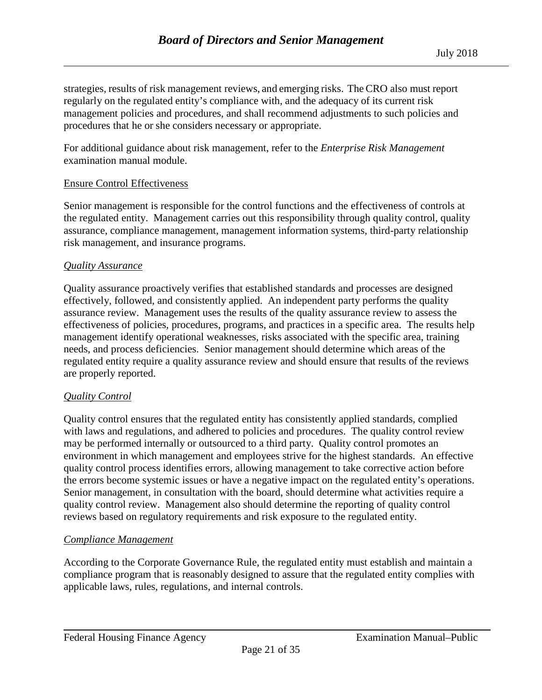strategies, results of risk management reviews, and emerging risks. The CRO also must report regularly on the regulated entity's compliance with, and the adequacy of its current risk management policies and procedures, and shall recommend adjustments to such policies and procedures that he or she considers necessary or appropriate.

For additional guidance about risk management, refer to the *Enterprise Risk Management* examination manual module.

#### <span id="page-20-0"></span>Ensure Control Effectiveness

Senior management is responsible for the control functions and the effectiveness of controls at the regulated entity. Management carries out this responsibility through quality control, quality assurance, compliance management, management information systems, third-party relationship risk management, and insurance programs.

#### *Quality Assurance*

Quality assurance proactively verifies that established standards and processes are designed effectively, followed, and consistently applied. An independent party performs the quality assurance review. Management uses the results of the quality assurance review to assess the effectiveness of policies, procedures, programs, and practices in a specific area. The results help management identify operational weaknesses, risks associated with the specific area, training needs, and process deficiencies. Senior management should determine which areas of the regulated entity require a quality assurance review and should ensure that results of the reviews are properly reported.

#### *Quality Control*

Quality control ensures that the regulated entity has consistently applied standards, complied with laws and regulations, and adhered to policies and procedures. The quality control review may be performed internally or outsourced to a third party. Quality control promotes an environment in which management and employees strive for the highest standards. An effective quality control process identifies errors, allowing management to take corrective action before the errors become systemic issues or have a negative impact on the regulated entity's operations. Senior management, in consultation with the board, should determine what activities require a quality control review. Management also should determine the reporting of quality control reviews based on regulatory requirements and risk exposure to the regulated entity.

#### *Compliance Management*

According to the Corporate Governance Rule, the regulated entity must establish and maintain a compliance program that is reasonably designed to assure that the regulated entity complies with applicable laws, rules, regulations, and internal controls.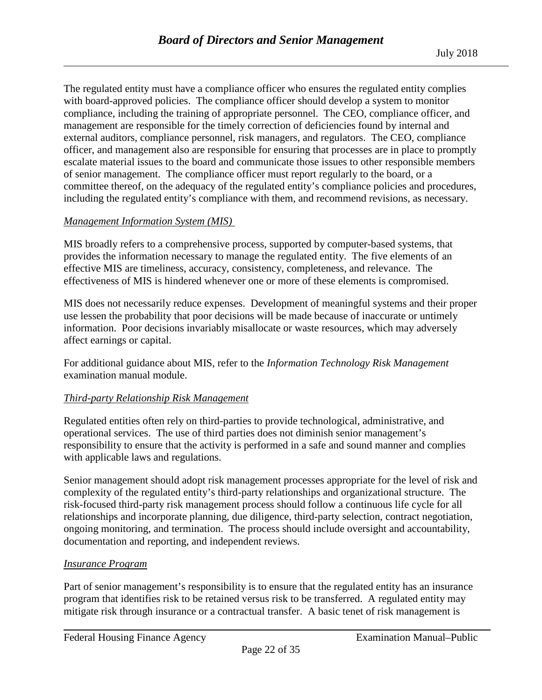The regulated entity must have a compliance officer who ensures the regulated entity complies with board-approved policies. The compliance officer should develop a system to monitor compliance, including the training of appropriate personnel. The CEO, compliance officer, and management are responsible for the timely correction of deficiencies found by internal and external auditors, compliance personnel, risk managers, and regulators. The CEO, compliance officer, and management also are responsible for ensuring that processes are in place to promptly escalate material issues to the board and communicate those issues to other responsible members of senior management. The compliance officer must report regularly to the board, or a committee thereof, on the adequacy of the regulated entity's compliance policies and procedures, including the regulated entity's compliance with them, and recommend revisions, as necessary.

## *Management Information System (MIS)*

MIS broadly refers to a comprehensive process, supported by computer-based systems, that provides the information necessary to manage the regulated entity. The five elements of an effective MIS are timeliness, accuracy, consistency, completeness, and relevance. The effectiveness of MIS is hindered whenever one or more of these elements is compromised.

MIS does not necessarily reduce expenses. Development of meaningful systems and their proper use lessen the probability that poor decisions will be made because of inaccurate or untimely information. Poor decisions invariably misallocate or waste resources, which may adversely affect earnings or capital.

For additional guidance about MIS, refer to the *Information Technology Risk Management* examination manual module.

#### *Third-party Relationship Risk Management*

Regulated entities often rely on third-parties to provide technological, administrative, and operational services. The use of third parties does not diminish senior management's responsibility to ensure that the activity is performed in a safe and sound manner and complies with applicable laws and regulations.

Senior management should adopt risk management processes appropriate for the level of risk and complexity of the regulated entity's third-party relationships and organizational structure. The risk-focused third-party risk management process should follow a continuous life cycle for all relationships and incorporate planning, due diligence, third-party selection, contract negotiation, ongoing monitoring, and termination. The process should include oversight and accountability, documentation and reporting, and independent reviews.

#### *Insurance Program*

Part of senior management's responsibility is to ensure that the regulated entity has an insurance program that identifies risk to be retained versus risk to be transferred. A regulated entity may mitigate risk through insurance or a contractual transfer. A basic tenet of risk management is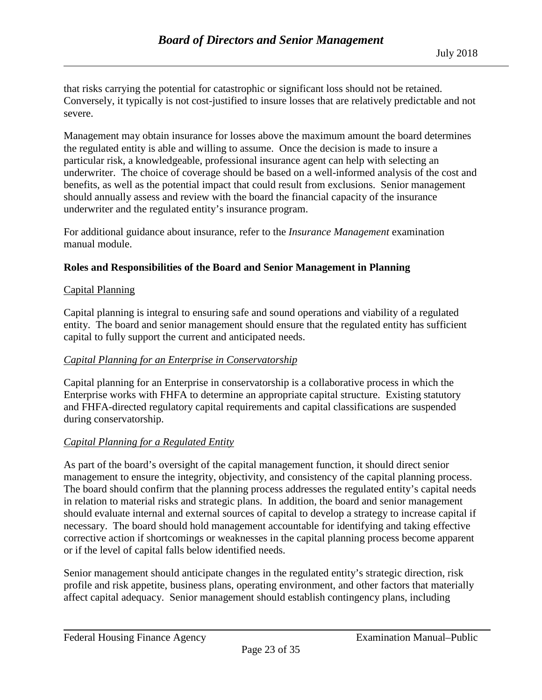that risks carrying the potential for catastrophic or significant loss should not be retained. Conversely, it typically is not cost-justified to insure losses that are relatively predictable and not severe.

Management may obtain insurance for losses above the maximum amount the board determines the regulated entity is able and willing to assume. Once the decision is made to insure a particular risk, a knowledgeable, professional insurance agent can help with selecting an underwriter. The choice of coverage should be based on a well-informed analysis of the cost and benefits, as well as the potential impact that could result from exclusions. Senior management should annually assess and review with the board the financial capacity of the insurance underwriter and the regulated entity's insurance program.

For additional guidance about insurance, refer to the *Insurance Management* examination manual module.

## <span id="page-22-0"></span>**Roles and Responsibilities of the Board and Senior Management in Planning**

#### <span id="page-22-1"></span>Capital Planning

Capital planning is integral to ensuring safe and sound operations and viability of a regulated entity. The board and senior management should ensure that the regulated entity has sufficient capital to fully support the current and anticipated needs.

#### *Capital Planning for an Enterprise in Conservatorship*

Capital planning for an Enterprise in conservatorship is a collaborative process in which the Enterprise works with FHFA to determine an appropriate capital structure. Existing statutory and FHFA-directed regulatory capital requirements and capital classifications are suspended during conservatorship.

#### *Capital Planning for a Regulated Entity*

As part of the board's oversight of the capital management function, it should direct senior management to ensure the integrity, objectivity, and consistency of the capital planning process. The board should confirm that the planning process addresses the regulated entity's capital needs in relation to material risks and strategic plans. In addition, the board and senior management should evaluate internal and external sources of capital to develop a strategy to increase capital if necessary. The board should hold management accountable for identifying and taking effective corrective action if shortcomings or weaknesses in the capital planning process become apparent or if the level of capital falls below identified needs.

Senior management should anticipate changes in the regulated entity's strategic direction, risk profile and risk appetite, business plans, operating environment, and other factors that materially affect capital adequacy. Senior management should establish contingency plans, including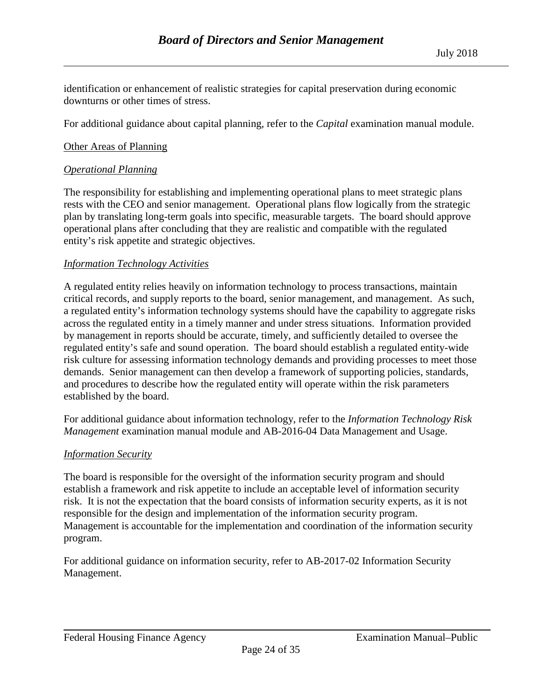identification or enhancement of realistic strategies for capital preservation during economic downturns or other times of stress.

For additional guidance about capital planning, refer to the *Capital* examination manual module.

## <span id="page-23-0"></span>Other Areas of Planning

## *Operational Planning*

The responsibility for establishing and implementing operational plans to meet strategic plans rests with the CEO and senior management. Operational plans flow logically from the strategic plan by translating long-term goals into specific, measurable targets. The board should approve operational plans after concluding that they are realistic and compatible with the regulated entity's risk appetite and strategic objectives.

## *Information Technology Activities*

A regulated entity relies heavily on information technology to process transactions, maintain critical records, and supply reports to the board, senior management, and management. As such, a regulated entity's information technology systems should have the capability to aggregate risks across the regulated entity in a timely manner and under stress situations. Information provided by management in reports should be accurate, timely, and sufficiently detailed to oversee the regulated entity's safe and sound operation. The board should establish a regulated entity-wide risk culture for assessing information technology demands and providing processes to meet those demands. Senior management can then develop a framework of supporting policies, standards, and procedures to describe how the regulated entity will operate within the risk parameters established by the board.

For additional guidance about information technology, refer to the *Information Technology Risk Management* examination manual module and AB-2016-04 Data Management and Usage.

#### *Information Security*

The board is responsible for the oversight of the information security program and should establish a framework and risk appetite to include an acceptable level of information security risk. It is not the expectation that the board consists of information security experts, as it is not responsible for the design and implementation of the information security program. Management is accountable for the implementation and coordination of the information security program.

For additional guidance on information security, refer to AB-2017-02 Information Security Management.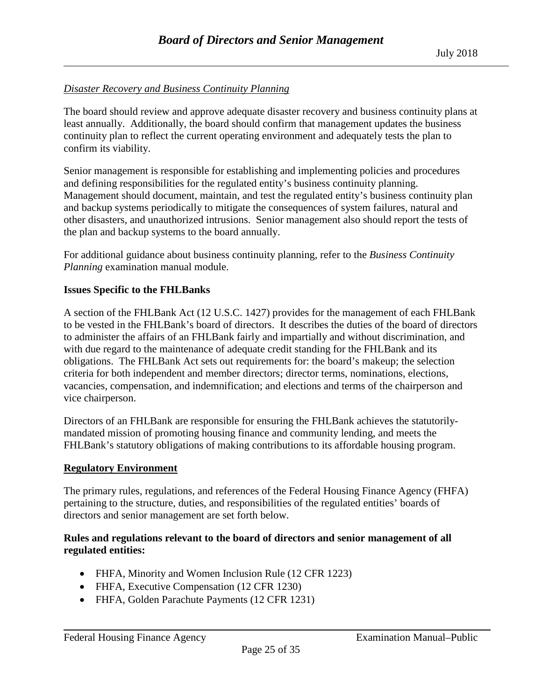## *Disaster Recovery and Business Continuity Planning*

The board should review and approve adequate disaster recovery and business continuity plans at least annually. Additionally, the board should confirm that management updates the business continuity plan to reflect the current operating environment and adequately tests the plan to confirm its viability.

Senior management is responsible for establishing and implementing policies and procedures and defining responsibilities for the regulated entity's business continuity planning. Management should document, maintain, and test the regulated entity's business continuity plan and backup systems periodically to mitigate the consequences of system failures, natural and other disasters, and unauthorized intrusions. Senior management also should report the tests of the plan and backup systems to the board annually.

For additional guidance about business continuity planning, refer to the *Business Continuity Planning* examination manual module.

## <span id="page-24-0"></span>**Issues Specific to the FHLBanks**

A section of the FHLBank Act (12 U.S.C. 1427) provides for the management of each FHLBank to be vested in the FHLBank's board of directors. It describes the duties of the board of directors to administer the affairs of an FHLBank fairly and impartially and without discrimination, and with due regard to the maintenance of adequate credit standing for the FHLBank and its obligations. The FHLBank Act sets out requirements for: the board's makeup; the selection criteria for both independent and member directors; director terms, nominations, elections, vacancies, compensation, and indemnification; and elections and terms of the chairperson and vice chairperson.

Directors of an FHLBank are responsible for ensuring the FHLBank achieves the statutorilymandated mission of promoting housing finance and community lending, and meets the FHLBank's statutory obligations of making contributions to its affordable housing program.

#### <span id="page-24-1"></span>**Regulatory Environment**

The primary rules, regulations, and references of the Federal Housing Finance Agency (FHFA) pertaining to the structure, duties, and responsibilities of the regulated entities' boards of directors and senior management are set forth below.

#### **Rules and regulations relevant to the board of directors and senior management of all regulated entities:**

- FHFA, Minority and Women Inclusion Rule (12 CFR 1223)
- FHFA, Executive Compensation (12 CFR 1230)
- FHFA, Golden Parachute Payments (12 CFR 1231)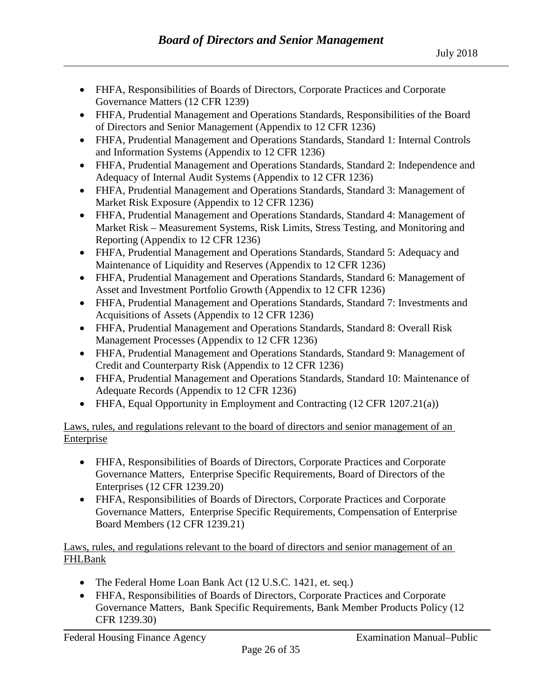- FHFA, Responsibilities of Boards of Directors, Corporate Practices and Corporate Governance Matters (12 CFR 1239)
- FHFA, Prudential Management and Operations Standards, Responsibilities of the Board of Directors and Senior Management (Appendix to 12 CFR 1236)
- FHFA, Prudential Management and Operations Standards, Standard 1: Internal Controls and Information Systems (Appendix to 12 CFR 1236)
- FHFA, Prudential Management and Operations Standards, Standard 2: Independence and Adequacy of Internal Audit Systems (Appendix to 12 CFR 1236)
- FHFA, Prudential Management and Operations Standards, Standard 3: Management of Market Risk Exposure (Appendix to 12 CFR 1236)
- FHFA, Prudential Management and Operations Standards, Standard 4: Management of Market Risk – Measurement Systems, Risk Limits, Stress Testing, and Monitoring and Reporting (Appendix to 12 CFR 1236)
- FHFA, Prudential Management and Operations Standards, Standard 5: Adequacy and Maintenance of Liquidity and Reserves (Appendix to 12 CFR 1236)
- FHFA, Prudential Management and Operations Standards, Standard 6: Management of Asset and Investment Portfolio Growth (Appendix to 12 CFR 1236)
- FHFA, Prudential Management and Operations Standards, Standard 7: Investments and Acquisitions of Assets (Appendix to 12 CFR 1236)
- FHFA, Prudential Management and Operations Standards, Standard 8: Overall Risk Management Processes (Appendix to 12 CFR 1236)
- FHFA, Prudential Management and Operations Standards, Standard 9: Management of Credit and Counterparty Risk (Appendix to 12 CFR 1236)
- FHFA, Prudential Management and Operations Standards, Standard 10: Maintenance of Adequate Records (Appendix to 12 CFR 1236)
- FHFA, Equal Opportunity in Employment and Contracting (12 CFR 1207.21(a))

Laws, rules, and regulations relevant to the board of directors and senior management of an Enterprise

- FHFA, Responsibilities of Boards of Directors, Corporate Practices and Corporate Governance Matters, Enterprise Specific Requirements, Board of Directors of the Enterprises (12 CFR 1239.20)
- FHFA, Responsibilities of Boards of Directors, Corporate Practices and Corporate Governance Matters, Enterprise Specific Requirements, Compensation of Enterprise Board Members (12 CFR 1239.21)

## Laws, rules, and regulations relevant to the board of directors and senior management of an FHLBank

- The Federal Home Loan Bank Act (12 U.S.C. 1421, et. seq.)
- FHFA, Responsibilities of Boards of Directors, Corporate Practices and Corporate Governance Matters, Bank Specific Requirements, Bank Member Products Policy (12 CFR 1239.30)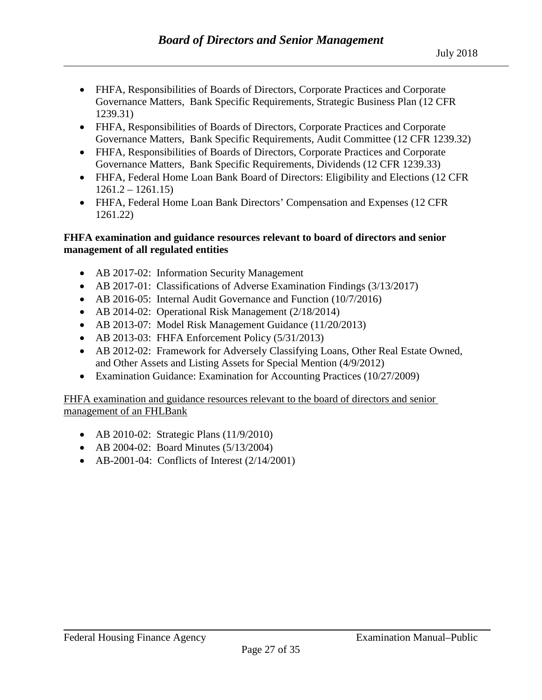- FHFA, Responsibilities of Boards of Directors, Corporate Practices and Corporate Governance Matters, Bank Specific Requirements, Strategic Business Plan (12 CFR 1239.31)
- FHFA, Responsibilities of Boards of Directors, Corporate Practices and Corporate Governance Matters, Bank Specific Requirements, Audit Committee (12 CFR 1239.32)
- FHFA, Responsibilities of Boards of Directors, Corporate Practices and Corporate Governance Matters, Bank Specific Requirements, Dividends (12 CFR 1239.33)
- FHFA, Federal Home Loan Bank Board of Directors: Eligibility and Elections (12 CFR)  $1261.2 - 1261.15$
- FHFA, Federal Home Loan Bank Directors' Compensation and Expenses (12 CFR) 1261.22)

#### **FHFA examination and guidance resources relevant to board of directors and senior management of all regulated entities**

- AB 2017-02: Information Security Management
- AB 2017-01: Classifications of Adverse Examination Findings (3/13/2017)
- AB 2016-05: Internal Audit Governance and Function (10/7/2016)
- AB 2014-02: Operational Risk Management (2/18/2014)
- AB 2013-07: Model Risk Management Guidance (11/20/2013)
- AB 2013-03: FHFA Enforcement Policy (5/31/2013)
- AB 2012-02: Framework for Adversely Classifying Loans, Other Real Estate Owned, and Other Assets and Listing Assets for Special Mention (4/9/2012)
- Examination Guidance: Examination for Accounting Practices (10/27/2009)

FHFA examination and guidance resources relevant to the board of directors and senior management of an FHLBank

- AB 2010-02: Strategic Plans (11/9/2010)
- AB 2004-02: Board Minutes (5/13/2004)
- AB-2001-04: Conflicts of Interest  $(2/14/2001)$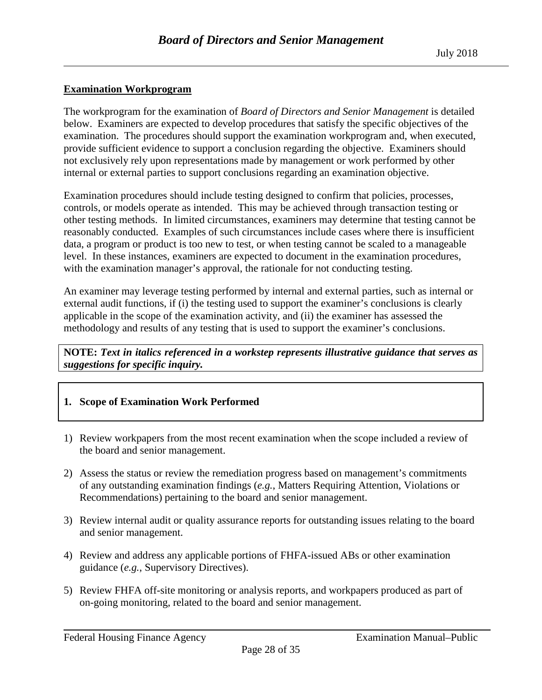### <span id="page-27-0"></span>**Examination Workprogram**

The workprogram for the examination of *Board of Directors and Senior Management* is detailed below. Examiners are expected to develop procedures that satisfy the specific objectives of the examination. The procedures should support the examination workprogram and, when executed, provide sufficient evidence to support a conclusion regarding the objective. Examiners should not exclusively rely upon representations made by management or work performed by other internal or external parties to support conclusions regarding an examination objective.

Examination procedures should include testing designed to confirm that policies, processes, controls, or models operate as intended. This may be achieved through transaction testing or other testing methods. In limited circumstances, examiners may determine that testing cannot be reasonably conducted. Examples of such circumstances include cases where there is insufficient data, a program or product is too new to test, or when testing cannot be scaled to a manageable level. In these instances, examiners are expected to document in the examination procedures, with the examination manager's approval, the rationale for not conducting testing.

An examiner may leverage testing performed by internal and external parties, such as internal or external audit functions, if (i) the testing used to support the examiner's conclusions is clearly applicable in the scope of the examination activity, and (ii) the examiner has assessed the methodology and results of any testing that is used to support the examiner's conclusions.

**NOTE:** *Text in italics referenced in a workstep represents illustrative guidance that serves as suggestions for specific inquiry.*

## **1. Scope of Examination Work Performed**

- 1) Review workpapers from the most recent examination when the scope included a review of the board and senior management.
- 2) Assess the status or review the remediation progress based on management's commitments of any outstanding examination findings (*e.g.*, Matters Requiring Attention, Violations or Recommendations) pertaining to the board and senior management.
- 3) Review internal audit or quality assurance reports for outstanding issues relating to the board and senior management.
- 4) Review and address any applicable portions of FHFA-issued ABs or other examination guidance (*e.g.*, Supervisory Directives).
- 5) Review FHFA off-site monitoring or analysis reports, and workpapers produced as part of on-going monitoring, related to the board and senior management.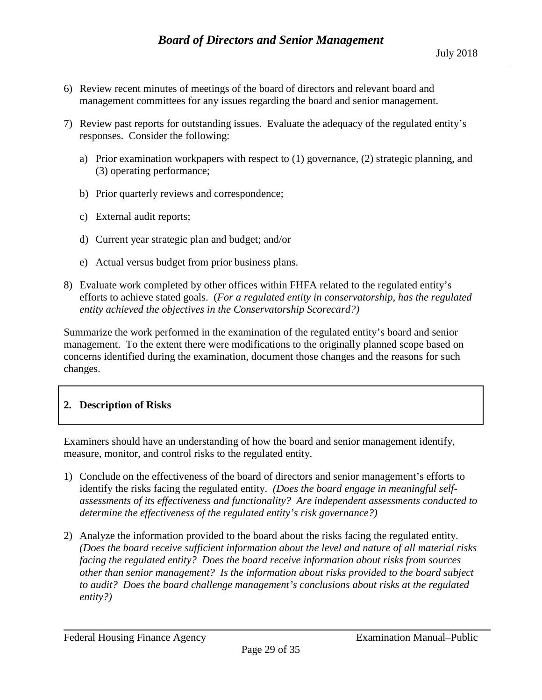- 6) Review recent minutes of meetings of the board of directors and relevant board and management committees for any issues regarding the board and senior management.
- 7) Review past reports for outstanding issues. Evaluate the adequacy of the regulated entity's responses. Consider the following:
	- a) Prior examination workpapers with respect to (1) governance, (2) strategic planning, and (3) operating performance;
	- b) Prior quarterly reviews and correspondence;
	- c) External audit reports;
	- d) Current year strategic plan and budget; and/or
	- e) Actual versus budget from prior business plans.
- 8) Evaluate work completed by other offices within FHFA related to the regulated entity's efforts to achieve stated goals. (*For a regulated entity in conservatorship, has the regulated entity achieved the objectives in the Conservatorship Scorecard?)*

Summarize the work performed in the examination of the regulated entity's board and senior management. To the extent there were modifications to the originally planned scope based on concerns identified during the examination, document those changes and the reasons for such changes.

## **2. Description of Risks**

Examiners should have an understanding of how the board and senior management identify, measure, monitor, and control risks to the regulated entity.

- 1) Conclude on the effectiveness of the board of directors and senior management's efforts to identify the risks facing the regulated entity. *(Does the board engage in meaningful selfassessments of its effectiveness and functionality? Are independent assessments conducted to determine the effectiveness of the regulated entity's risk governance?)*
- 2) Analyze the information provided to the board about the risks facing the regulated entity. *(Does the board receive sufficient information about the level and nature of all material risks facing the regulated entity? Does the board receive information about risks from sources other than senior management? Is the information about risks provided to the board subject to audit? Does the board challenge management's conclusions about risks at the regulated entity?)*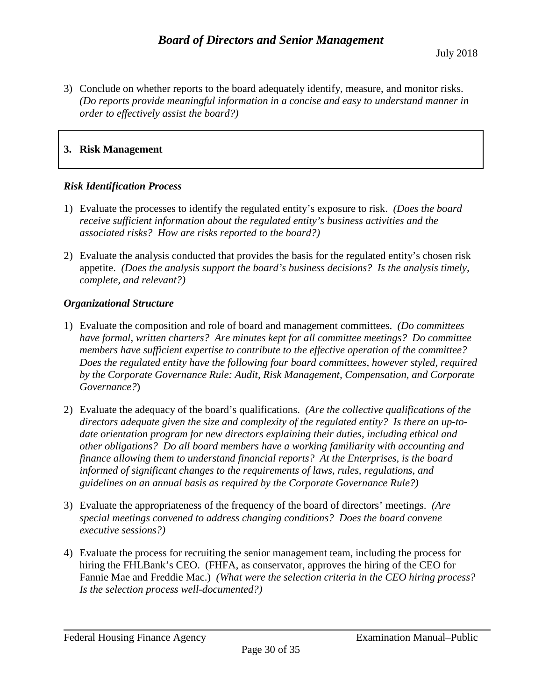3) Conclude on whether reports to the board adequately identify, measure, and monitor risks. *(Do reports provide meaningful information in a concise and easy to understand manner in order to effectively assist the board?)*

### **3. Risk Management**

#### *Risk Identification Process*

- 1) Evaluate the processes to identify the regulated entity's exposure to risk. *(Does the board receive sufficient information about the regulated entity's business activities and the associated risks? How are risks reported to the board?)*
- 2) Evaluate the analysis conducted that provides the basis for the regulated entity's chosen risk appetite. *(Does the analysis support the board's business decisions? Is the analysis timely, complete, and relevant?)*

#### *Organizational Structure*

- 1) Evaluate the composition and role of board and management committees. *(Do committees have formal, written charters? Are minutes kept for all committee meetings? Do committee members have sufficient expertise to contribute to the effective operation of the committee? Does the regulated entity have the following four board committees, however styled, required by the Corporate Governance Rule: Audit, Risk Management, Compensation, and Corporate Governance?*)
- 2) Evaluate the adequacy of the board's qualifications. *(Are the collective qualifications of the directors adequate given the size and complexity of the regulated entity? Is there an up-todate orientation program for new directors explaining their duties, including ethical and other obligations? Do all board members have a working familiarity with accounting and finance allowing them to understand financial reports? At the Enterprises, is the board informed of significant changes to the requirements of laws, rules, regulations, and guidelines on an annual basis as required by the Corporate Governance Rule?)*
- 3) Evaluate the appropriateness of the frequency of the board of directors' meetings. *(Are special meetings convened to address changing conditions? Does the board convene executive sessions?)*
- 4) Evaluate the process for recruiting the senior management team, including the process for hiring the FHLBank's CEO. (FHFA, as conservator, approves the hiring of the CEO for Fannie Mae and Freddie Mac.) *(What were the selection criteria in the CEO hiring process? Is the selection process well-documented?)*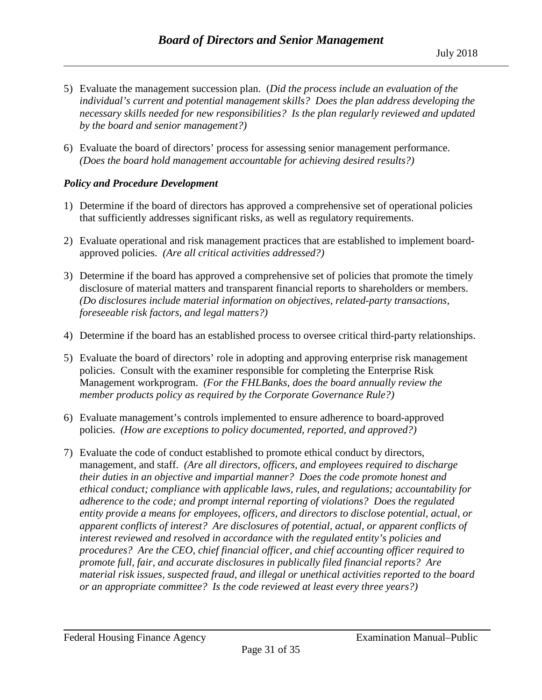- 5) Evaluate the management succession plan. (*Did the process include an evaluation of the individual's current and potential management skills? Does the plan address developing the necessary skills needed for new responsibilities? Is the plan regularly reviewed and updated by the board and senior management?)*
- 6) Evaluate the board of directors' process for assessing senior management performance. *(Does the board hold management accountable for achieving desired results?)*

#### *Policy and Procedure Development*

- 1) Determine if the board of directors has approved a comprehensive set of operational policies that sufficiently addresses significant risks, as well as regulatory requirements.
- 2) Evaluate operational and risk management practices that are established to implement boardapproved policies. *(Are all critical activities addressed?)*
- 3) Determine if the board has approved a comprehensive set of policies that promote the timely disclosure of material matters and transparent financial reports to shareholders or members. *(Do disclosures include material information on objectives, related-party transactions, foreseeable risk factors, and legal matters?)*
- 4) Determine if the board has an established process to oversee critical third-party relationships.
- 5) Evaluate the board of directors' role in adopting and approving enterprise risk management policies. Consult with the examiner responsible for completing the Enterprise Risk Management workprogram. *(For the FHLBanks, does the board annually review the member products policy as required by the Corporate Governance Rule?)*
- 6) Evaluate management's controls implemented to ensure adherence to board-approved policies. *(How are exceptions to policy documented, reported, and approved?)*
- 7) Evaluate the code of conduct established to promote ethical conduct by directors, management, and staff. *(Are all directors, officers, and employees required to discharge their duties in an objective and impartial manner? Does the code promote honest and ethical conduct; compliance with applicable laws, rules, and regulations; accountability for adherence to the code; and prompt internal reporting of violations? Does the regulated entity provide a means for employees, officers, and directors to disclose potential, actual, or apparent conflicts of interest? Are disclosures of potential, actual, or apparent conflicts of interest reviewed and resolved in accordance with the regulated entity's policies and procedures? Are the CEO, chief financial officer, and chief accounting officer required to promote full, fair, and accurate disclosures in publically filed financial reports? Are material risk issues, suspected fraud, and illegal or unethical activities reported to the board or an appropriate committee? Is the code reviewed at least every three years?)*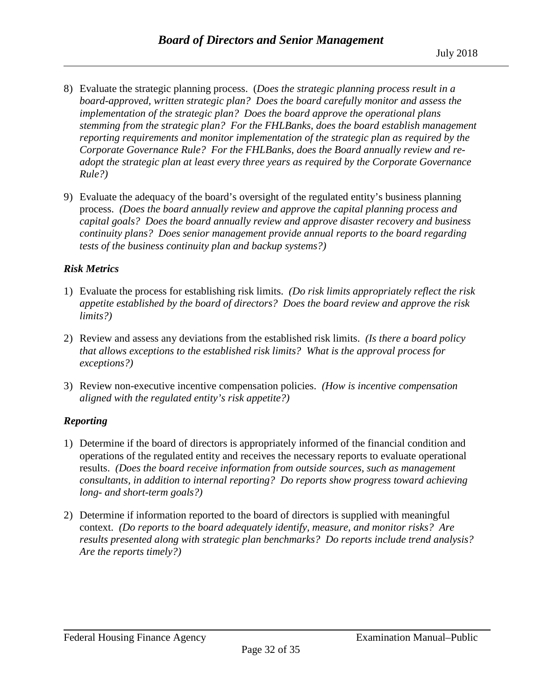- 8) Evaluate the strategic planning process. (*Does the strategic planning process result in a board-approved, written strategic plan? Does the board carefully monitor and assess the implementation of the strategic plan? Does the board approve the operational plans stemming from the strategic plan? For the FHLBanks, does the board establish management reporting requirements and monitor implementation of the strategic plan as required by the Corporate Governance Rule? For the FHLBanks, does the Board annually review and readopt the strategic plan at least every three years as required by the Corporate Governance Rule?)*
- 9) Evaluate the adequacy of the board's oversight of the regulated entity's business planning process. *(Does the board annually review and approve the capital planning process and capital goals? Does the board annually review and approve disaster recovery and business continuity plans? Does senior management provide annual reports to the board regarding tests of the business continuity plan and backup systems?)*

## *Risk Metrics*

- 1) Evaluate the process for establishing risk limits. *(Do risk limits appropriately reflect the risk appetite established by the board of directors? Does the board review and approve the risk limits?)*
- 2) Review and assess any deviations from the established risk limits. *(Is there a board policy that allows exceptions to the established risk limits? What is the approval process for exceptions?)*
- 3) Review non-executive incentive compensation policies. *(How is incentive compensation aligned with the regulated entity's risk appetite?)*

## *Reporting*

- 1) Determine if the board of directors is appropriately informed of the financial condition and operations of the regulated entity and receives the necessary reports to evaluate operational results. *(Does the board receive information from outside sources, such as management consultants, in addition to internal reporting? Do reports show progress toward achieving long- and short-term goals?)*
- 2) Determine if information reported to the board of directors is supplied with meaningful context. *(Do reports to the board adequately identify, measure, and monitor risks? Are results presented along with strategic plan benchmarks? Do reports include trend analysis? Are the reports timely?)*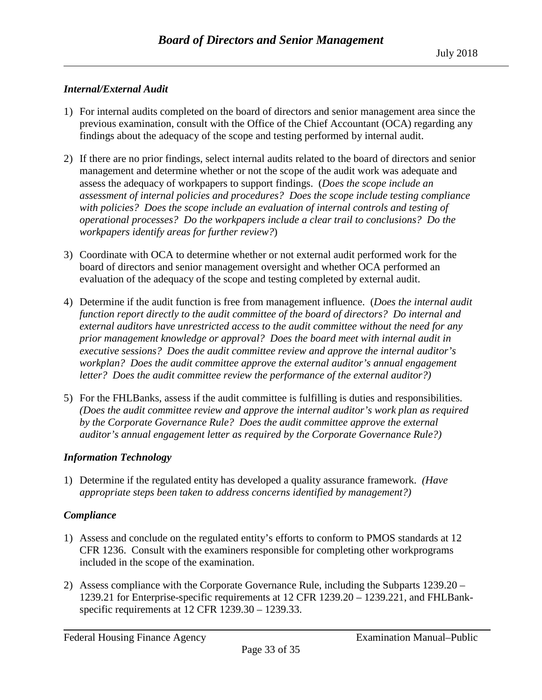## *Internal/External Audit*

- 1) For internal audits completed on the board of directors and senior management area since the previous examination, consult with the Office of the Chief Accountant (OCA) regarding any findings about the adequacy of the scope and testing performed by internal audit.
- 2) If there are no prior findings, select internal audits related to the board of directors and senior management and determine whether or not the scope of the audit work was adequate and assess the adequacy of workpapers to support findings. (*Does the scope include an assessment of internal policies and procedures? Does the scope include testing compliance with policies? Does the scope include an evaluation of internal controls and testing of operational processes? Do the workpapers include a clear trail to conclusions? Do the workpapers identify areas for further review?*)
- 3) Coordinate with OCA to determine whether or not external audit performed work for the board of directors and senior management oversight and whether OCA performed an evaluation of the adequacy of the scope and testing completed by external audit.
- 4) Determine if the audit function is free from management influence. (*Does the internal audit function report directly to the audit committee of the board of directors? Do internal and external auditors have unrestricted access to the audit committee without the need for any prior management knowledge or approval? Does the board meet with internal audit in executive sessions? Does the audit committee review and approve the internal auditor's workplan? Does the audit committee approve the external auditor's annual engagement letter? Does the audit committee review the performance of the external auditor?)*
- 5) For the FHLBanks, assess if the audit committee is fulfilling is duties and responsibilities. *(Does the audit committee review and approve the internal auditor's work plan as required by the Corporate Governance Rule? Does the audit committee approve the external auditor's annual engagement letter as required by the Corporate Governance Rule?)*

## *Information Technology*

1) Determine if the regulated entity has developed a quality assurance framework. *(Have appropriate steps been taken to address concerns identified by management?)*

## *Compliance*

- 1) Assess and conclude on the regulated entity's efforts to conform to PMOS standards at 12 CFR 1236. Consult with the examiners responsible for completing other workprograms included in the scope of the examination.
- 2) Assess compliance with the Corporate Governance Rule, including the Subparts 1239.20 1239.21 for Enterprise-specific requirements at 12 CFR 1239.20 – 1239.221, and FHLBankspecific requirements at 12 CFR 1239.30 – 1239.33.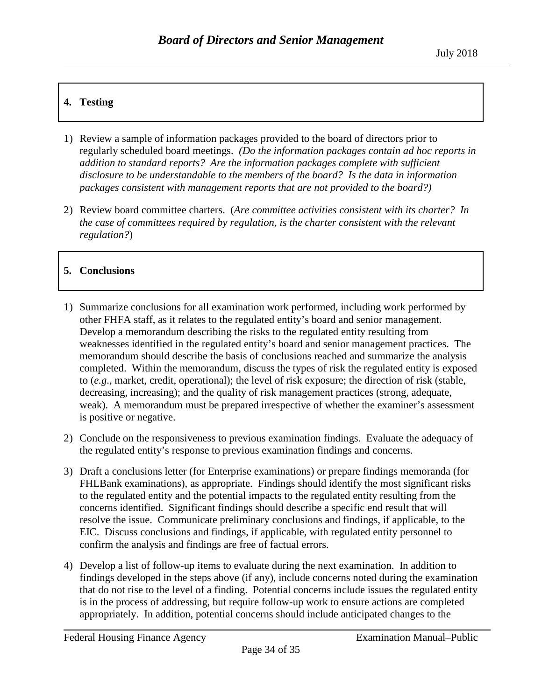# **4. Testing**

- 1) Review a sample of information packages provided to the board of directors prior to regularly scheduled board meetings. *(Do the information packages contain ad hoc reports in*  addition to standard reports? Are the information packages complete with sufficient *disclosure to be understandable to the members of the board? Is the data in information packages consistent with management reports that are not provided to the board?)*
- 2) Review board committee charters. (*Are committee activities consistent with its charter? In the case of committees required by regulation, is the charter consistent with the relevant regulation?*)

# **5. Conclusions**

- 1) Summarize conclusions for all examination work performed, including work performed by other FHFA staff, as it relates to the regulated entity's board and senior management. Develop a memorandum describing the risks to the regulated entity resulting from weaknesses identified in the regulated entity's board and senior management practices. The memorandum should describe the basis of conclusions reached and summarize the analysis completed. Within the memorandum, discuss the types of risk the regulated entity is exposed to (*e.g*., market, credit, operational); the level of risk exposure; the direction of risk (stable, decreasing, increasing); and the quality of risk management practices (strong, adequate, weak). A memorandum must be prepared irrespective of whether the examiner's assessment is positive or negative.
- 2) Conclude on the responsiveness to previous examination findings. Evaluate the adequacy of the regulated entity's response to previous examination findings and concerns.
- 3) Draft a conclusions letter (for Enterprise examinations) or prepare findings memoranda (for FHLBank examinations), as appropriate. Findings should identify the most significant risks to the regulated entity and the potential impacts to the regulated entity resulting from the concerns identified. Significant findings should describe a specific end result that will resolve the issue. Communicate preliminary conclusions and findings, if applicable, to the EIC. Discuss conclusions and findings, if applicable, with regulated entity personnel to confirm the analysis and findings are free of factual errors.
- 4) Develop a list of follow-up items to evaluate during the next examination. In addition to findings developed in the steps above (if any), include concerns noted during the examination that do not rise to the level of a finding. Potential concerns include issues the regulated entity is in the process of addressing, but require follow-up work to ensure actions are completed appropriately. In addition, potential concerns should include anticipated changes to the